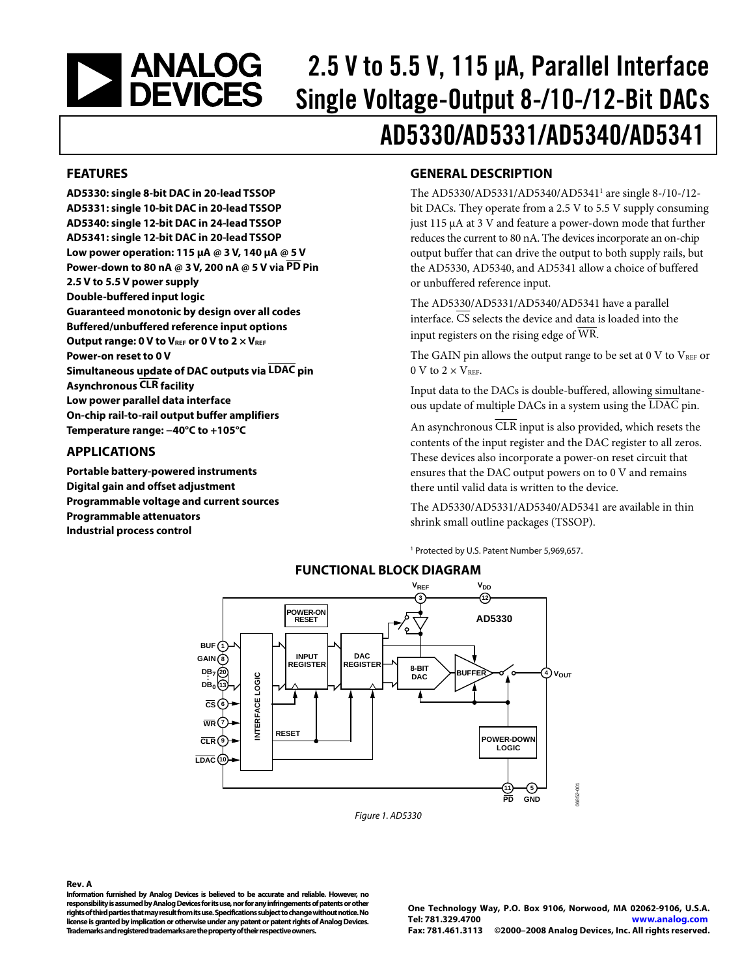<span id="page-0-0"></span>

# 2.5 V to 5.5 V, 115 μA, Parallel Interface Single Voltage-Output 8-/10-/12-Bit DACs AD5330/AD5331/AD5340/AD5341

### **FEATURES**

**AD5330: single 8-bit DAC in 20-lead TSSOP AD5331: single 10-bit DAC in 20-lead TSSOP AD5340: single 12-bit DAC in 24-lead TSSOP AD5341: single 12-bit DAC in 20-lead TSSOP Low power operation: 115 μA @ 3 V, 140 μA @ 5 V Power-down to 80 nA @ 3 V, 200 nA @ 5 V via PD Pin 2.5 V to 5.5 V power supply Double-buffered input logic Guaranteed monotonic by design over all codes Buffered/unbuffered reference input options**  Output range: 0 V to V<sub>REF</sub> or 0 V to 2  $\times$  V<sub>REF</sub> **Power-on reset to 0 V Simultaneous update of DAC outputs via LDAC pin Asynchronous CLR facility Low power parallel data interface On-chip rail-to-rail output buffer amplifiers Temperature range: −40°C to +105°C** 

### **APPLICATIONS**

**Portable battery-powered instruments Digital gain and offset adjustment Programmable voltage and current sources Programmable attenuators Industrial process control** 

### **GENERAL DESCRIPTION**

The AD5330/AD5331/AD5340/AD5341<sup>1</sup> are single 8-/10-/12bit DACs. They operate from a 2.5 V to 5.5 V supply consuming just 115 μA at 3 V and feature a power-down mode that further reduces the current to 80 nA. The devices incorporate an on-chip output buffer that can drive the output to both supply rails, but the AD5330, AD5340, and AD5341 allow a choice of buffered or unbuffered reference input.

The AD5330/AD5331/AD5340/AD5341 have a parallel interface. CS selects the device and data is loaded into the input registers on the rising edge of WR.

The GAIN pin allows the output range to be set at  $0 \text{ V}$  to  $V_{REF}$  or 0 V to  $2 \times V_{REF}$ .

Input data to the DACs is double-buffered, allowing simultaneous update of multiple DACs in a system using the LDAC pin.

An asynchronous CLR input is also provided, which resets the contents of the input register and the DAC register to all zeros. These devices also incorporate a power-on reset circuit that ensures that the DAC output powers on to 0 V and remains there until valid data is written to the device.

The AD5330/AD5331/AD5340/AD5341 are available in thin shrink small outline packages (TSSOP).

1 Protected by U.S. Patent Number 5,969,657.



Figure 1. AD5330

#### **Rev. A**

**Information furnished by Analog Devices is believed to be accurate and reliable. However, no responsibility is assumed by Analog Devices for its use, nor for any infringements of patents or other rights of third parties that may result from its use. Specifications subject to change without notice. No license is granted by implication or otherwise under any patent or patent rights of Analog Devices. Trademarks and registered trademarks are the property of their respective owners.**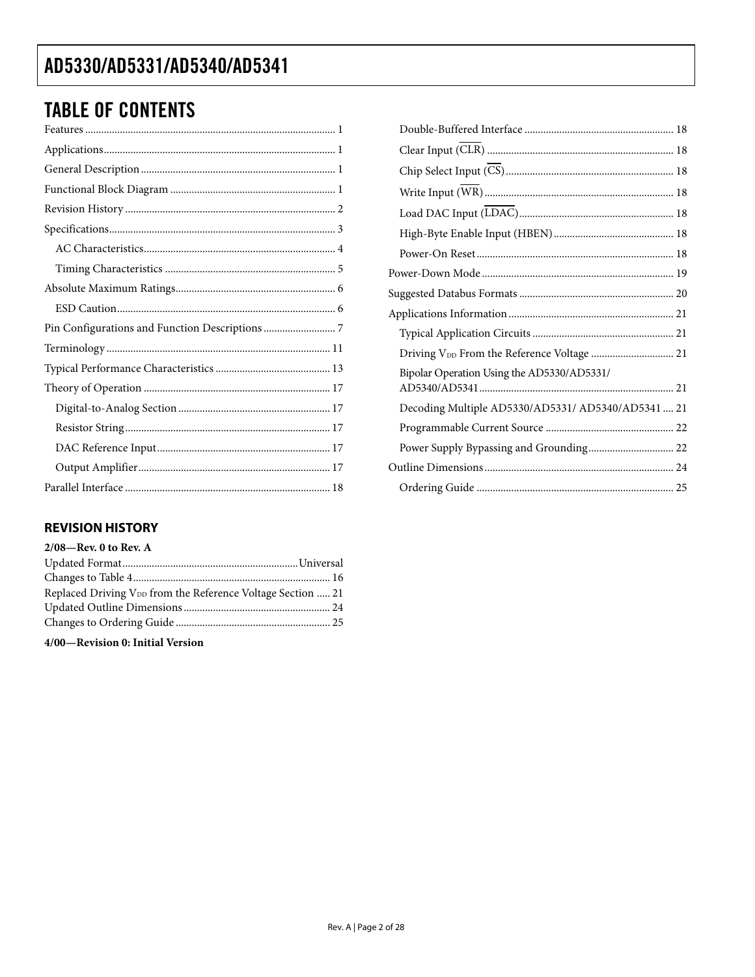# **TABLE OF CONTENTS**

### **REVISION HISTORY**

| $2/08$ —Rev. 0 to Rev. A                                                |  |
|-------------------------------------------------------------------------|--|
|                                                                         |  |
|                                                                         |  |
| Replaced Driving V <sub>DD</sub> from the Reference Voltage Section  21 |  |
|                                                                         |  |
|                                                                         |  |
|                                                                         |  |

4/00-Revision 0: Initial Version

| Bipolar Operation Using the AD5330/AD5331/         |  |
|----------------------------------------------------|--|
| Decoding Multiple AD5330/AD5331/ AD5340/AD5341  21 |  |
|                                                    |  |
| Power Supply Bypassing and Grounding 22            |  |
|                                                    |  |
|                                                    |  |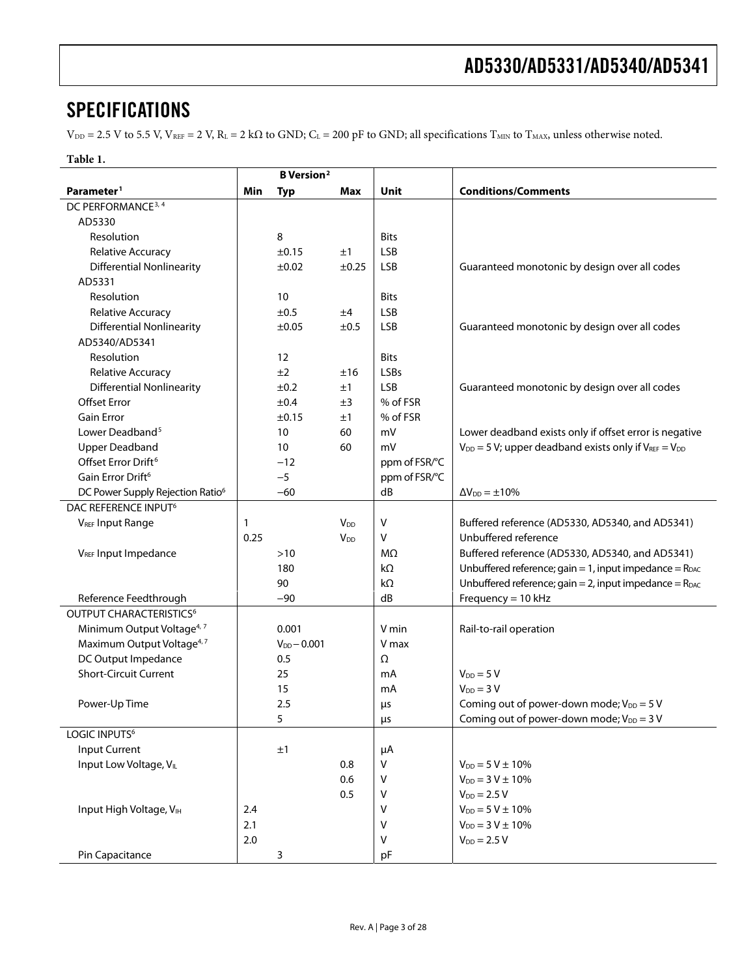## <span id="page-2-0"></span>**SPECIFICATIONS**

 $V_{DD} = 2.5$  V to 5.5 V,  $V_{REF} = 2$  V,  $R_L = 2$  k $\Omega$  to GND;  $C_L = 200$  pF to GND; all specifications  $T_{MIN}$  to  $T_{MAX}$ , unless otherwise noted.

| ٠<br>L<br>ш |  |
|-------------|--|
|-------------|--|

|                                              |      | <b>B</b> Version <sup>2</sup> |                       |               |                                                                   |
|----------------------------------------------|------|-------------------------------|-----------------------|---------------|-------------------------------------------------------------------|
| Parameter <sup>1</sup>                       | Min  | <b>Typ</b>                    | Max                   | Unit          | <b>Conditions/Comments</b>                                        |
| DC PERFORMANCE <sup>3, 4</sup>               |      |                               |                       |               |                                                                   |
| AD5330                                       |      |                               |                       |               |                                                                   |
| Resolution                                   |      | 8                             |                       | <b>Bits</b>   |                                                                   |
| Relative Accuracy                            |      | ±0.15                         | ±1                    | <b>LSB</b>    |                                                                   |
| <b>Differential Nonlinearity</b>             |      | ±0.02                         | ±0.25                 | <b>LSB</b>    | Guaranteed monotonic by design over all codes                     |
| AD5331                                       |      |                               |                       |               |                                                                   |
| Resolution                                   |      | 10                            |                       | <b>Bits</b>   |                                                                   |
| Relative Accuracy                            |      | ±0.5                          | ±4                    | <b>LSB</b>    |                                                                   |
| <b>Differential Nonlinearity</b>             |      | ±0.05                         | ±0.5                  | <b>LSB</b>    | Guaranteed monotonic by design over all codes                     |
| AD5340/AD5341                                |      |                               |                       |               |                                                                   |
| Resolution                                   |      | 12                            |                       | <b>Bits</b>   |                                                                   |
| Relative Accuracy                            |      | ±2                            | ±16                   | <b>LSBs</b>   |                                                                   |
| <b>Differential Nonlinearity</b>             |      | ±0.2                          | ±1                    | <b>LSB</b>    | Guaranteed monotonic by design over all codes                     |
| <b>Offset Error</b>                          |      | ±0.4                          | ±3                    | % of FSR      |                                                                   |
| <b>Gain Error</b>                            |      | ±0.15                         | ±1                    | % of FSR      |                                                                   |
| Lower Deadband <sup>5</sup>                  |      | 10                            | 60                    | mV            | Lower deadband exists only if offset error is negative            |
| <b>Upper Deadband</b>                        |      | 10                            | 60                    | mV            | $V_{DD} = 5 V$ ; upper deadband exists only if $V_{REF} = V_{DD}$ |
| Offset Error Drift <sup>6</sup>              |      | $-12$                         |                       | ppm of FSR/°C |                                                                   |
| Gain Error Drift <sup>6</sup>                |      | $-5$                          |                       | ppm of FSR/°C |                                                                   |
| DC Power Supply Rejection Ratio <sup>6</sup> |      | $-60$                         |                       | dB            | $\Delta V_{DD} = \pm 10\%$                                        |
| DAC REFERENCE INPUT <sup>6</sup>             |      |                               |                       |               |                                                                   |
| <b>VREF Input Range</b>                      | 1    |                               | <b>V<sub>DD</sub></b> | $\vee$        | Buffered reference (AD5330, AD5340, and AD5341)                   |
|                                              | 0.25 |                               | $V_{DD}$              | $\vee$        | Unbuffered reference                                              |
| VREF Input Impedance                         |      | $>10$                         |                       | MΩ            | Buffered reference (AD5330, AD5340, and AD5341)                   |
|                                              |      | 180                           |                       | $k\Omega$     | Unbuffered reference; gain = 1, input impedance = $R_{DAC}$       |
|                                              |      | 90                            |                       | $k\Omega$     | Unbuffered reference; gain = 2, input impedance = $R_{DAC}$       |
| Reference Feedthrough                        |      | $-90$                         |                       | dB            | Frequency = $10$ kHz                                              |
| OUTPUT CHARACTERISTICS <sup>6</sup>          |      |                               |                       |               |                                                                   |
| Minimum Output Voltage <sup>4, 7</sup>       |      | 0.001                         |                       | V min         | Rail-to-rail operation                                            |
| Maximum Output Voltage <sup>4, 7</sup>       |      | $V_{DD} - 0.001$              |                       | V max         |                                                                   |
| DC Output Impedance                          |      | 0.5                           |                       | Ω             |                                                                   |
| <b>Short-Circuit Current</b>                 |      | 25                            |                       | mA            | $V_{DD} = 5 V$                                                    |
|                                              |      | 15                            |                       | mA            | $V_{DD} = 3 V$                                                    |
|                                              |      | 2.5                           |                       |               |                                                                   |
| Power-Up Time                                |      |                               |                       | μs            | Coming out of power-down mode; $V_{DD} = 5 V$                     |
| LOGIC INPUTS <sup>6</sup>                    |      | 5                             |                       | μs            | Coming out of power-down mode; $V_{DD} = 3 V$                     |
| <b>Input Current</b>                         |      |                               |                       |               |                                                                   |
| Input Low Voltage, VLL                       |      | ±1                            | 0.8                   | μA<br>V       | $V_{DD} = 5 V \pm 10\%$                                           |
|                                              |      |                               |                       |               |                                                                   |
|                                              |      |                               | 0.6                   | $\vee$        | $V_{DD} = 3 V \pm 10\%$                                           |
|                                              |      |                               | 0.5                   | V             | $V_{DD} = 2.5 V$                                                  |
| Input High Voltage, VIH                      | 2.4  |                               |                       | $\vee$        | $V_{DD} = 5 V \pm 10\%$                                           |
|                                              | 2.1  |                               |                       | $\vee$        | $V_{DD} = 3 V \pm 10\%$                                           |
|                                              | 2.0  |                               |                       | $\vee$        | $V_{DD} = 2.5 V$                                                  |
| Pin Capacitance                              |      | 3                             |                       | pF            |                                                                   |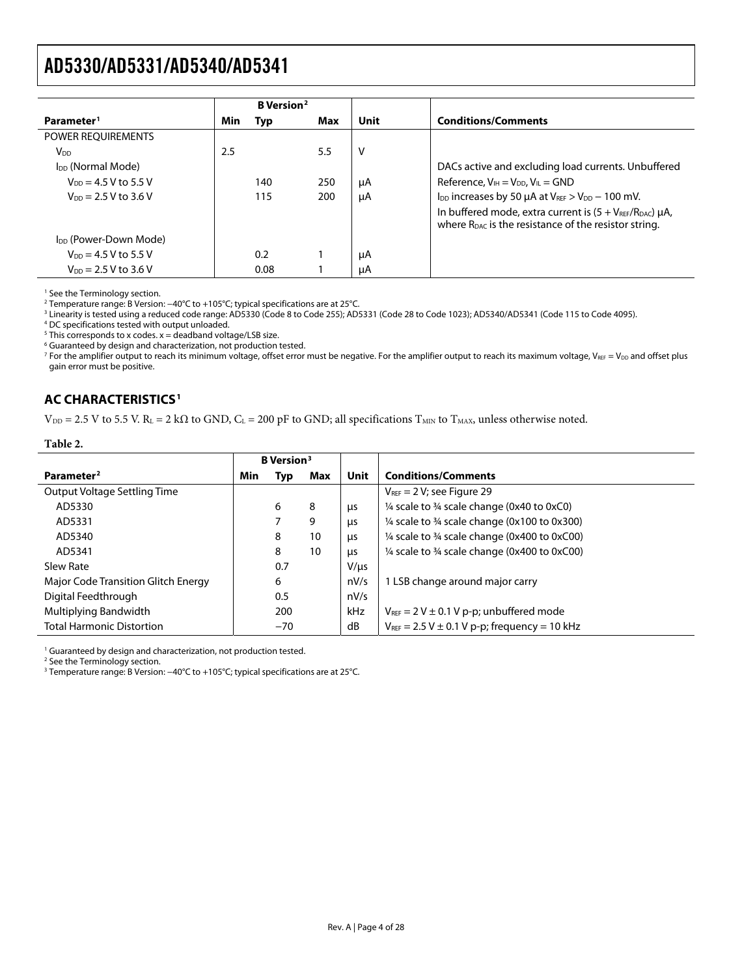<span id="page-3-0"></span>

|                                   |     | <b>B</b> Version <sup>2</sup> |     |      |                                                                                                                                        |
|-----------------------------------|-----|-------------------------------|-----|------|----------------------------------------------------------------------------------------------------------------------------------------|
| Parameter <sup>1</sup>            | Min | Typ                           | Max | Unit | <b>Conditions/Comments</b>                                                                                                             |
| POWER REQUIREMENTS                |     |                               |     |      |                                                                                                                                        |
| $V_{DD}$                          | 2.5 |                               | 5.5 | v    |                                                                                                                                        |
| I <sub>DD</sub> (Normal Mode)     |     |                               |     |      | DACs active and excluding load currents. Unbuffered                                                                                    |
| $V_{DD} = 4.5 V$ to 5.5 V         |     | 140                           | 250 | μA   | Reference, $V_{IH} = V_{DD}$ , $V_{IL} = GND$                                                                                          |
| $V_{DD} = 2.5 V$ to 3.6 V         |     | 115                           | 200 | μA   | $I_{DD}$ increases by 50 $\mu$ A at $V_{REF} > V_{DD} - 100$ mV.                                                                       |
|                                   |     |                               |     |      | In buffered mode, extra current is $(5 + V_{REF}/R_{DAC}) \mu A$ ,<br>where $R_{\text{DAC}}$ is the resistance of the resistor string. |
| I <sub>DD</sub> (Power-Down Mode) |     |                               |     |      |                                                                                                                                        |
| $V_{DD} = 4.5 V$ to 5.5 V         |     | 0.2 <sub>0</sub>              |     | μA   |                                                                                                                                        |
| $V_{DD} = 2.5 V$ to 3.6 V         |     | 0.08                          |     | μA   |                                                                                                                                        |

1 See the [Terminology s](#page-10-1)ection.

2 Temperature range: B Version: −40°C to +105°C; typical specifications are at 25°C. 3

<sup>3</sup> Linearity is tested using a reduced code range: AD5330 (Code 8 to Code 255); AD5331 (Code 28 to Code 1023); AD5340/AD5341 (Code 115 to Code 4095).<br><sup>4</sup> DC specifications tested with output uploaded

DC specifications tested with output unloaded.

 $5$  This corresponds to x codes.  $x =$  deadband voltage/LSB size.

<sup>6</sup> Guaranteed by design and characterization, not production tested.

 $^7$  For the amplifier output to reach its minimum voltage, offset error must be negative. For the amplifier output to reach its maximum voltage, V $_{\tt NEF}$  = V $_{\tt DD}$  and offset plus gain error must be positive.

### **AC CHARACTERISTICS1**

**Table 2.** 

 $V_{DD}$  = 2.5 V to 5.5 V. R<sub>L</sub> = 2 kΩ to GND, C<sub>L</sub> = 200 pF to GND; all specifications T<sub>MIN</sub> to T<sub>MAX</sub>, unless otherwise noted.

|                                     | <b>B</b> Version <sup>3</sup> |       |     |            |                                                                    |
|-------------------------------------|-------------------------------|-------|-----|------------|--------------------------------------------------------------------|
| Parameter <sup>2</sup>              | Min                           | Typ   | Max | Unit       | <b>Conditions/Comments</b>                                         |
| Output Voltage Settling Time        |                               |       |     |            | $V_{\text{REF}} = 2 V$ ; see Figure 29                             |
| AD5330                              |                               | 6     | 8   | μs         | 1/4 scale to 3/4 scale change (0x40 to 0xC0)                       |
| AD5331                              |                               |       | 9   | μs         | $\frac{1}{4}$ scale to $\frac{3}{4}$ scale change (0x100 to 0x300) |
| AD5340                              |                               | 8     | 10  | μs         | 1/4 scale to 3/4 scale change (0x400 to 0xC00)                     |
| AD5341                              |                               | 8     | 10  | μs         | 1/4 scale to 3/4 scale change (0x400 to 0xC00)                     |
| Slew Rate                           |                               | 0.7   |     | $V/\mu s$  |                                                                    |
| Major Code Transition Glitch Energy |                               | 6     |     | nV/s       | 1 LSB change around major carry                                    |
| Digital Feedthrough                 |                               | 0.5   |     | nV/s       |                                                                    |
| Multiplying Bandwidth               |                               | 200   |     | <b>kHz</b> | $V_{REF}$ = 2 V $\pm$ 0.1 V p-p; unbuffered mode                   |
| <b>Total Harmonic Distortion</b>    |                               | $-70$ |     | dB         | $V_{REF}$ = 2.5 V $\pm$ 0.1 V p-p; frequency = 10 kHz              |

<sup>1</sup> Guaranteed by design and characterization, not production tested.

2 See the [Terminology s](#page-10-1)ection.

<sup>3</sup> Temperature range: B Version: −40°C to +105°C; typical specifications are at 25°C.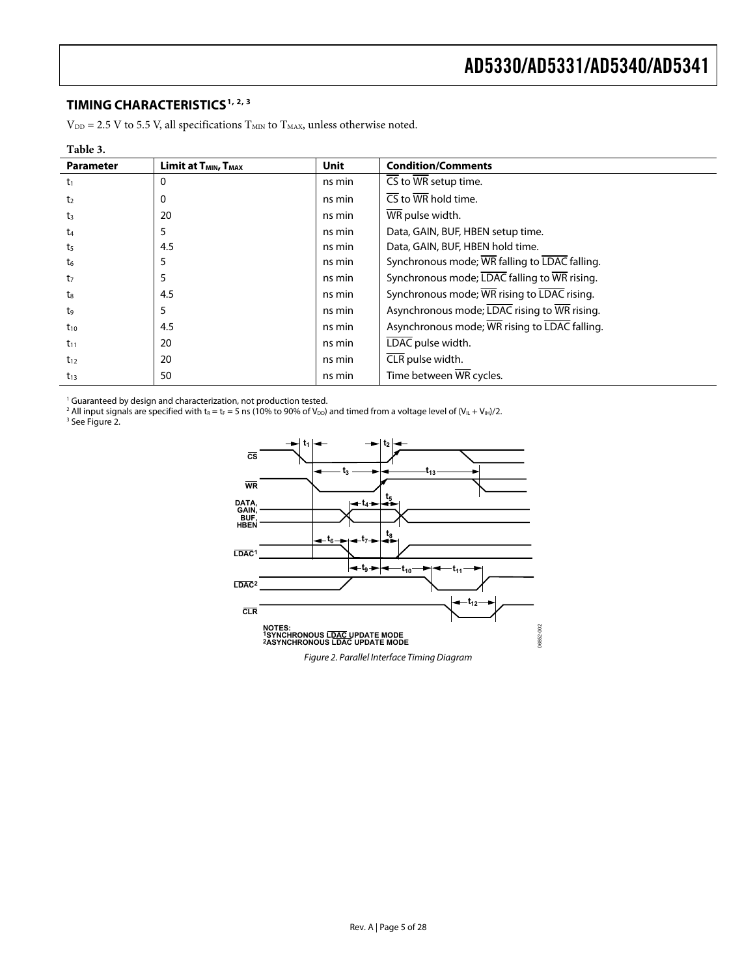### <span id="page-4-0"></span>**TIMING CHARACTERISTICS1, 2, 3**

 $V_{DD} = 2.5$  V to 5.5 V, all specifications  $T_{MIN}$  to  $T_{MAX}$ , unless otherwise noted.

| Table 3.         |                                              |             |                                               |
|------------------|----------------------------------------------|-------------|-----------------------------------------------|
| <b>Parameter</b> | Limit at T <sub>MIN</sub> , T <sub>MAX</sub> | <b>Unit</b> | <b>Condition/Comments</b>                     |
| $t_1$            | $\Omega$                                     | ns min      | CS to WR setup time.                          |
| t <sub>2</sub>   | $\Omega$                                     | ns min      | $\overline{\text{CS}}$ to WR hold time.       |
| $t_3$            | 20                                           | ns min      | WR pulse width.                               |
| $t_4$            | 5                                            | ns min      | Data, GAIN, BUF, HBEN setup time.             |
| t <sub>5</sub>   | 4.5                                          | ns min      | Data, GAIN, BUF, HBEN hold time.              |
| t <sub>6</sub>   | 5                                            | ns min      | Synchronous mode; WR falling to LDAC falling. |
| t <sub>7</sub>   | 5                                            | ns min      | Synchronous mode; LDAC falling to WR rising.  |
| $t_8$            | 4.5                                          | ns min      | Synchronous mode; WR rising to LDAC rising.   |
| t9               | 5                                            | ns min      | Asynchronous mode; LDAC rising to WR rising.  |
| $t_{10}$         | 4.5                                          | ns min      | Asynchronous mode; WR rising to LDAC falling. |
| $t_{11}$         | 20                                           | ns min      | LDAC pulse width.                             |
| $t_{12}$         | 20                                           | ns min      | CLR pulse width.                              |
| $t_{13}$         | 50                                           | ns min      | Time between $\overline{\text{WR}}$ cycles.   |

' Guaranteed by design and characterization, not production tested.<br><sup>2</sup> All input signals are specified with t<sub>R</sub> = t<sub>F</sub> = 5 ns (10% to 90% of V<sub>DD</sub>) and timed from a voltage level of (V<sub>IL</sub> + V<sub>IH</sub>)/2.<br><sup>3</sup> See Figure 2.

<span id="page-4-1"></span>

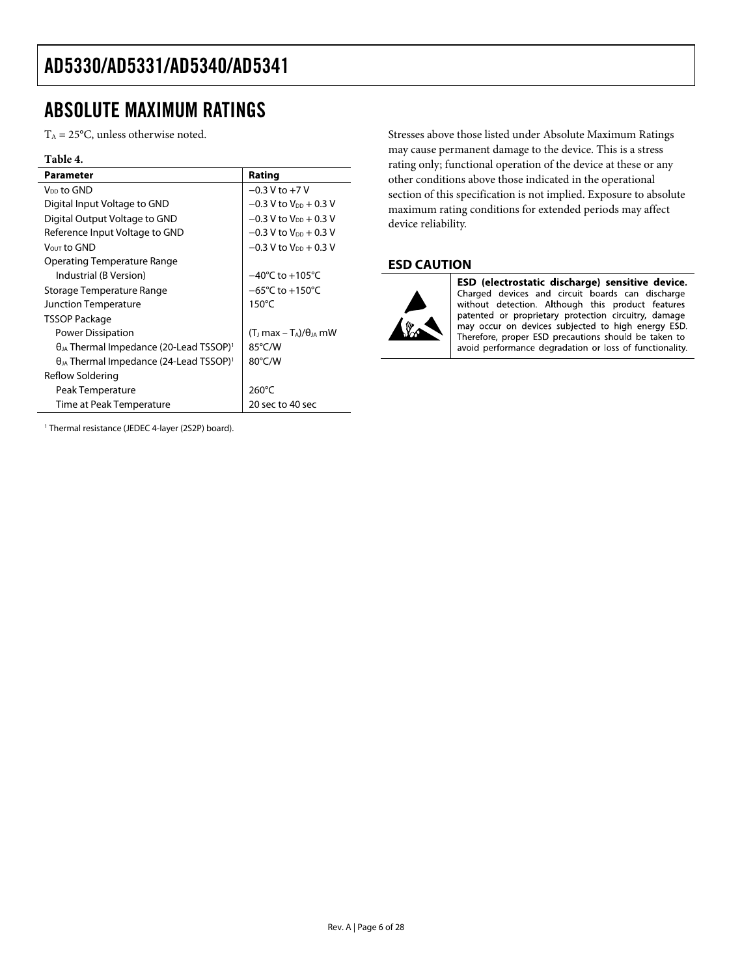## <span id="page-5-1"></span><span id="page-5-0"></span>ABSOLUTE MAXIMUM RATINGS

 $T_A = 25$ °C, unless otherwise noted.

### **Table 4.**

| <b>Parameter</b>                                             | Rating                              |
|--------------------------------------------------------------|-------------------------------------|
| V <sub>DD</sub> to GND                                       | $-0.3$ V to $+7$ V                  |
| Digital Input Voltage to GND                                 | $-0.3$ V to V <sub>pp</sub> + 0.3 V |
| Digital Output Voltage to GND                                | $-0.3$ V to $V_{DD}$ + 0.3 V        |
| Reference Input Voltage to GND                               | $-0.3$ V to $V_{DD}$ + 0.3 V        |
| $V_{OUT}$ to $GND$                                           | $-0.3$ V to $V_{DD}$ + 0.3 V        |
| Operating Temperature Range                                  |                                     |
| Industrial (B Version)                                       | $-40^{\circ}$ C to $+105^{\circ}$ C |
| Storage Temperature Range                                    | $-65^{\circ}$ C to $+150^{\circ}$ C |
| <b>Junction Temperature</b>                                  | 150 $\degree$ C                     |
| TSSOP Package                                                |                                     |
| Power Dissipation                                            | $(TJ max - TA)/\thetaJA$ mW         |
| $\theta_{JA}$ Thermal Impedance (20-Lead TSSOP) <sup>1</sup> | 85°C/W                              |
| $\theta_{JA}$ Thermal Impedance (24-Lead TSSOP) <sup>1</sup> | $80^{\circ}$ C/W                    |
| Reflow Soldering                                             |                                     |
| Peak Temperature                                             | $260^{\circ}$ C                     |
| Time at Peak Temperature                                     | 20 sec to 40 sec                    |

Stresses above those listed under Absolute Maximum Ratings may cause permanent damage to the device. This is a stress rating only; functional operation of the device at these or any other conditions above those indicated in the operational section of this specification is not implied. Exposure to absolute maximum rating conditions for extended periods may affect device reliability.

### **ESD CAUTION**



ESD (electrostatic discharge) sensitive device. Charged devices and circuit boards can discharge<br>without detection. Although this product features patented or proprietary protection circuitry, damage may occur on devices subjected to high energy ESD. Therefore, proper ESD precautions should be taken to avoid performance degradation or loss of functionality.

1 Thermal resistance (JEDEC 4-layer (2S2P) board).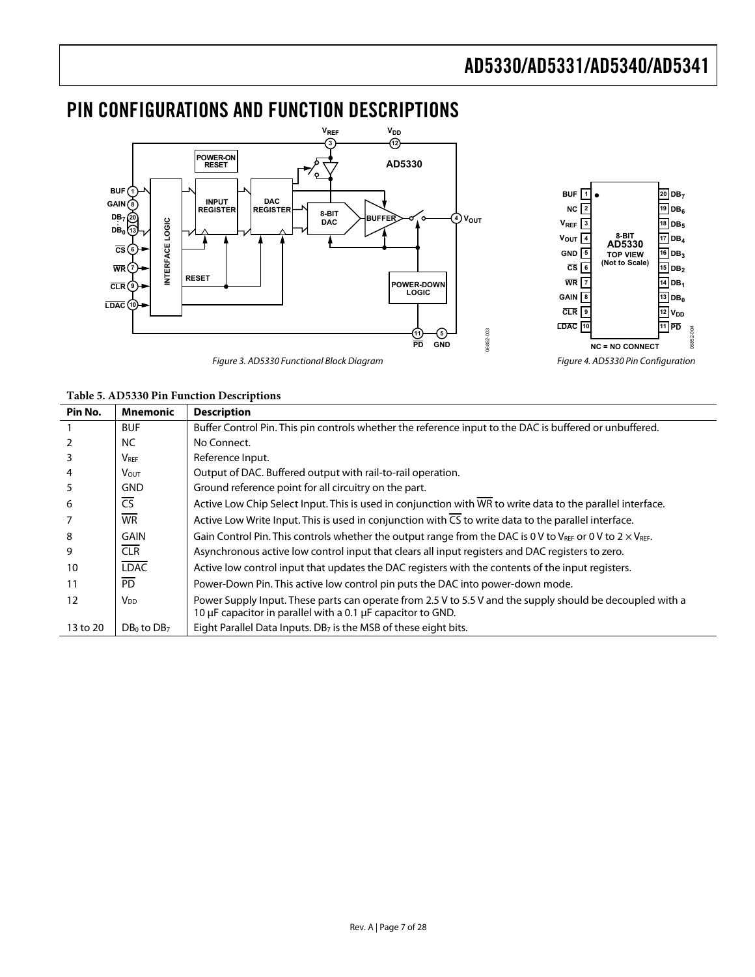

## <span id="page-6-0"></span>PIN CONFIGURATIONS AND FUNCTION DESCRIPTIONS

Figure 3. AD5330 Functional Block Diagram Figure 4. AD5330 Pin Configuration

| Table 5. AD5330 Pin Function Descriptions |  |
|-------------------------------------------|--|

| Pin No.  | <b>Mnemonic</b>        | <b>Description</b>                                                                                                                                                       |
|----------|------------------------|--------------------------------------------------------------------------------------------------------------------------------------------------------------------------|
|          | <b>BUF</b>             | Buffer Control Pin. This pin controls whether the reference input to the DAC is buffered or unbuffered.                                                                  |
|          | NC.                    | No Connect.                                                                                                                                                              |
| 3        | $V_{\text{REF}}$       | Reference Input.                                                                                                                                                         |
| 4        | Vout.                  | Output of DAC. Buffered output with rail-to-rail operation.                                                                                                              |
| 5        | <b>GND</b>             | Ground reference point for all circuitry on the part.                                                                                                                    |
| 6        | <b>CS</b>              | Active Low Chip Select Input. This is used in conjunction with WR to write data to the parallel interface.                                                               |
|          | <b>WR</b>              | Active Low Write Input. This is used in conjunction with $\overline{CS}$ to write data to the parallel interface.                                                        |
| 8        | <b>GAIN</b>            | Gain Control Pin. This controls whether the output range from the DAC is 0 V to $V_{REF}$ or 0 V to 2 $\times$ V <sub>RFF</sub> .                                        |
| 9        | CLR                    | Asynchronous active low control input that clears all input registers and DAC registers to zero.                                                                         |
| 10       | <b>LDAC</b>            | Active low control input that updates the DAC registers with the contents of the input registers.                                                                        |
| 11       | <b>PD</b>              | Power-Down Pin. This active low control pin puts the DAC into power-down mode.                                                                                           |
| 12       | <b>V</b> <sub>DD</sub> | Power Supply Input. These parts can operate from 2.5 V to 5.5 V and the supply should be decoupled with a<br>10 µF capacitor in parallel with a 0.1 µF capacitor to GND. |
| 13 to 20 | $DB0$ to $DB7$         | Eight Parallel Data Inputs. DB <sub>7</sub> is the MSB of these eight bits.                                                                                              |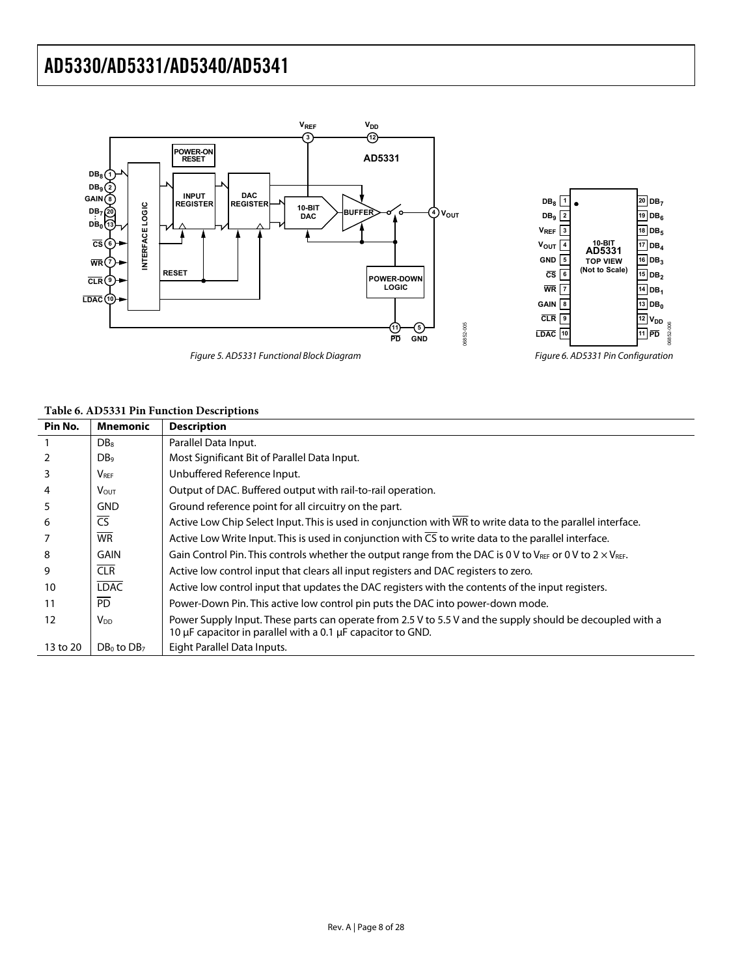

#### **Table 6. AD5331 Pin Function Descriptions**

| Pin No.  | Mnemonic                    | <b>Description</b>                                                                                                                                                       |
|----------|-----------------------------|--------------------------------------------------------------------------------------------------------------------------------------------------------------------------|
|          | D <sub>B</sub> <sub>8</sub> | Parallel Data Input.                                                                                                                                                     |
| 2        | DB <sub>9</sub>             | Most Significant Bit of Parallel Data Input.                                                                                                                             |
| 3        | $V_{\text{REF}}$            | Unbuffered Reference Input.                                                                                                                                              |
| 4        | V <sub>OUT</sub>            | Output of DAC. Buffered output with rail-to-rail operation.                                                                                                              |
| 5        | GND                         | Ground reference point for all circuitry on the part.                                                                                                                    |
| 6        | $\overline{\text{CS}}$      | Active Low Chip Select Input. This is used in conjunction with WR to write data to the parallel interface.                                                               |
|          | <b>WR</b>                   | Active Low Write Input. This is used in conjunction with CS to write data to the parallel interface.                                                                     |
| 8        | GAIN                        | Gain Control Pin. This controls whether the output range from the DAC is 0 V to VREF or 0 V to 2 $\times$ VREF.                                                          |
| 9        | <b>CLR</b>                  | Active low control input that clears all input registers and DAC registers to zero.                                                                                      |
| 10       | <b>LDAC</b>                 | Active low control input that updates the DAC registers with the contents of the input registers.                                                                        |
| 11       | <b>PD</b>                   | Power-Down Pin. This active low control pin puts the DAC into power-down mode.                                                                                           |
| 12       | V <sub>DD</sub>             | Power Supply Input. These parts can operate from 2.5 V to 5.5 V and the supply should be decoupled with a<br>10 µF capacitor in parallel with a 0.1 µF capacitor to GND. |
| 13 to 20 | $DB_0$ to $DB_7$            | Eight Parallel Data Inputs.                                                                                                                                              |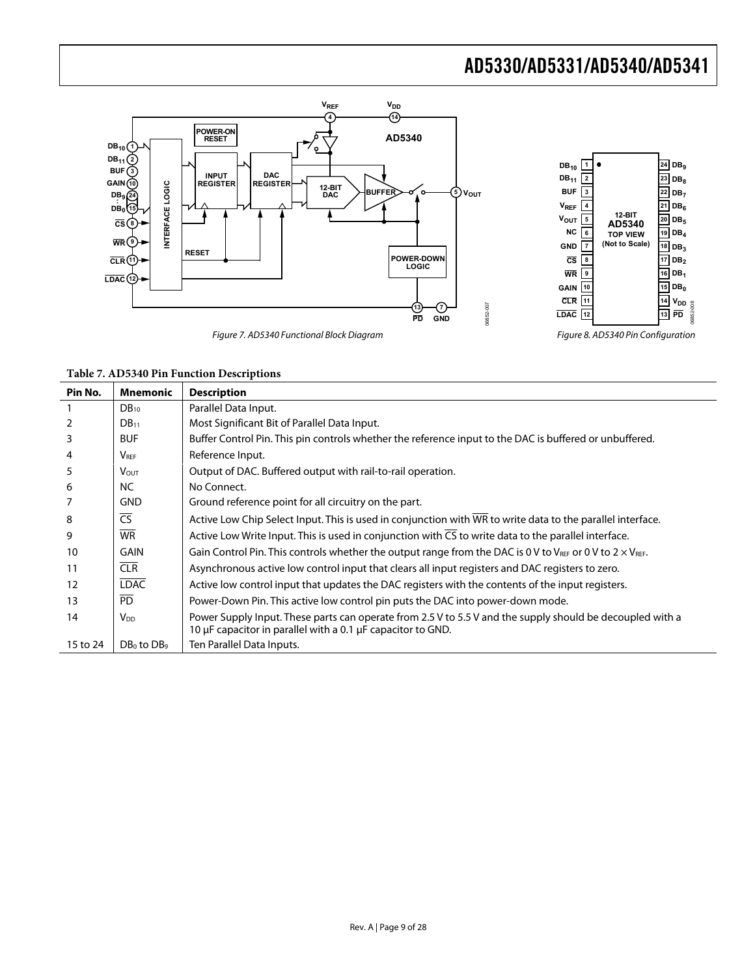

**Table 7. AD5340 Pin Function Descriptions** 

| Pin No.  | <b>Mnemonic</b>         | <b>Description</b>                                                                                                                                                       |
|----------|-------------------------|--------------------------------------------------------------------------------------------------------------------------------------------------------------------------|
|          | $DB_{10}$               | Parallel Data Input.                                                                                                                                                     |
| 2        | $DB_{11}$               | Most Significant Bit of Parallel Data Input.                                                                                                                             |
| 3        | <b>BUF</b>              | Buffer Control Pin. This pin controls whether the reference input to the DAC is buffered or unbuffered.                                                                  |
| 4        | $V_{\text{REF}}$        | Reference Input.                                                                                                                                                         |
| 5        | <b>V</b> <sub>OUT</sub> | Output of DAC. Buffered output with rail-to-rail operation.                                                                                                              |
| 6        | NC.                     | No Connect.                                                                                                                                                              |
|          | <b>GND</b>              | Ground reference point for all circuitry on the part.                                                                                                                    |
| 8        | $\overline{\text{CS}}$  | Active Low Chip Select Input. This is used in conjunction with WR to write data to the parallel interface.                                                               |
| 9        | <b>WR</b>               | Active Low Write Input. This is used in conjunction with $\overline{CS}$ to write data to the parallel interface.                                                        |
| 10       | <b>GAIN</b>             | Gain Control Pin. This controls whether the output range from the DAC is 0 V to VREF or 0 V to 2 $\times$ VREF.                                                          |
| 11       | <b>CLR</b>              | Asynchronous active low control input that clears all input registers and DAC registers to zero.                                                                         |
| 12       | <b>LDAC</b>             | Active low control input that updates the DAC registers with the contents of the input registers.                                                                        |
| 13       | <b>PD</b>               | Power-Down Pin. This active low control pin puts the DAC into power-down mode.                                                                                           |
| 14       | <b>V<sub>DD</sub></b>   | Power Supply Input. These parts can operate from 2.5 V to 5.5 V and the supply should be decoupled with a<br>10 µF capacitor in parallel with a 0.1 µF capacitor to GND. |
| 15 to 24 | $DB_0$ to $DB_9$        | Ten Parallel Data Inputs.                                                                                                                                                |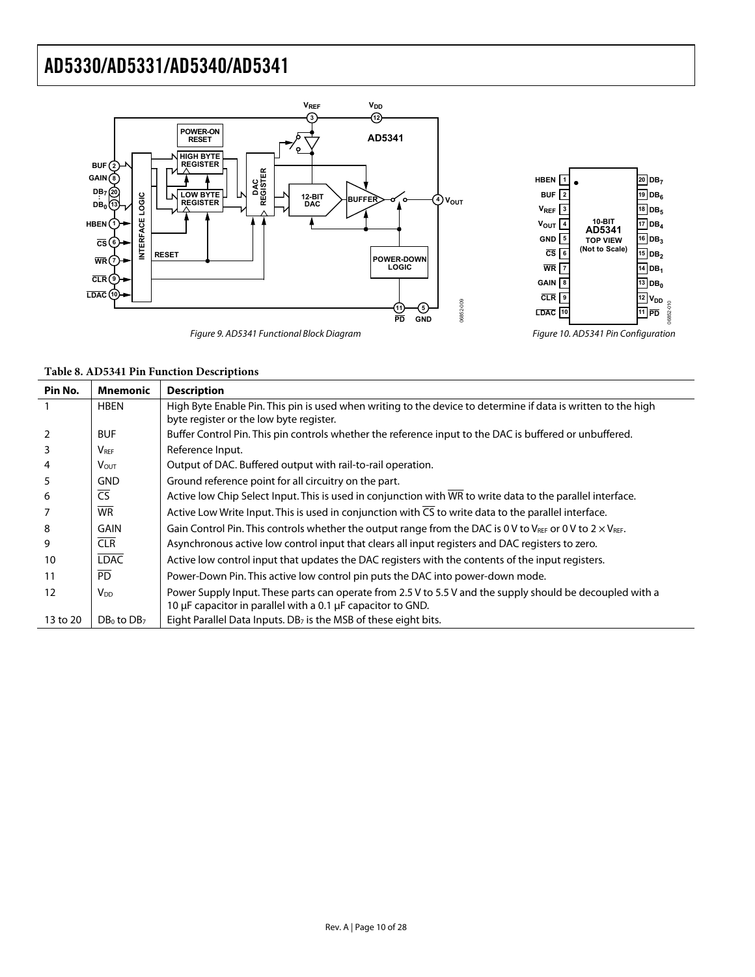

| Table 8. AD5341 Pin Function Descriptions |  |  |  |
|-------------------------------------------|--|--|--|
|-------------------------------------------|--|--|--|

| Pin No.  | <b>Mnemonic</b>             | <b>Description</b>                                                                                                                                                       |
|----------|-----------------------------|--------------------------------------------------------------------------------------------------------------------------------------------------------------------------|
|          | <b>HBEN</b>                 | High Byte Enable Pin. This pin is used when writing to the device to determine if data is written to the high<br>byte register or the low byte register.                 |
|          | <b>BUF</b>                  | Buffer Control Pin. This pin controls whether the reference input to the DAC is buffered or unbuffered.                                                                  |
| 3        | $\mathsf{V}_{\mathsf{REF}}$ | Reference Input.                                                                                                                                                         |
| 4        | <b>V</b> <sub>OUT</sub>     | Output of DAC. Buffered output with rail-to-rail operation.                                                                                                              |
|          | <b>GND</b>                  | Ground reference point for all circuitry on the part.                                                                                                                    |
| 6        | $\overline{\mathsf{CS}}$    | Active low Chip Select Input. This is used in conjunction with WR to write data to the parallel interface.                                                               |
|          | <b>WR</b>                   | Active Low Write Input. This is used in conjunction with CS to write data to the parallel interface.                                                                     |
| 8        | <b>GAIN</b>                 | Gain Control Pin. This controls whether the output range from the DAC is 0 V to V <sub>REF</sub> or 0 V to 2 $\times$ V <sub>REF</sub> .                                 |
| 9        | CLR                         | Asynchronous active low control input that clears all input registers and DAC registers to zero.                                                                         |
| 10       | <b>LDAC</b>                 | Active low control input that updates the DAC registers with the contents of the input registers.                                                                        |
| 11       | $\overline{PD}$             | Power-Down Pin. This active low control pin puts the DAC into power-down mode.                                                                                           |
| 12       | V <sub>DD</sub>             | Power Supply Input. These parts can operate from 2.5 V to 5.5 V and the supply should be decoupled with a<br>10 µF capacitor in parallel with a 0.1 µF capacitor to GND. |
| 13 to 20 | $DB_0$ to $DB_7$            | Eight Parallel Data Inputs. DB <sub>7</sub> is the MSB of these eight bits.                                                                                              |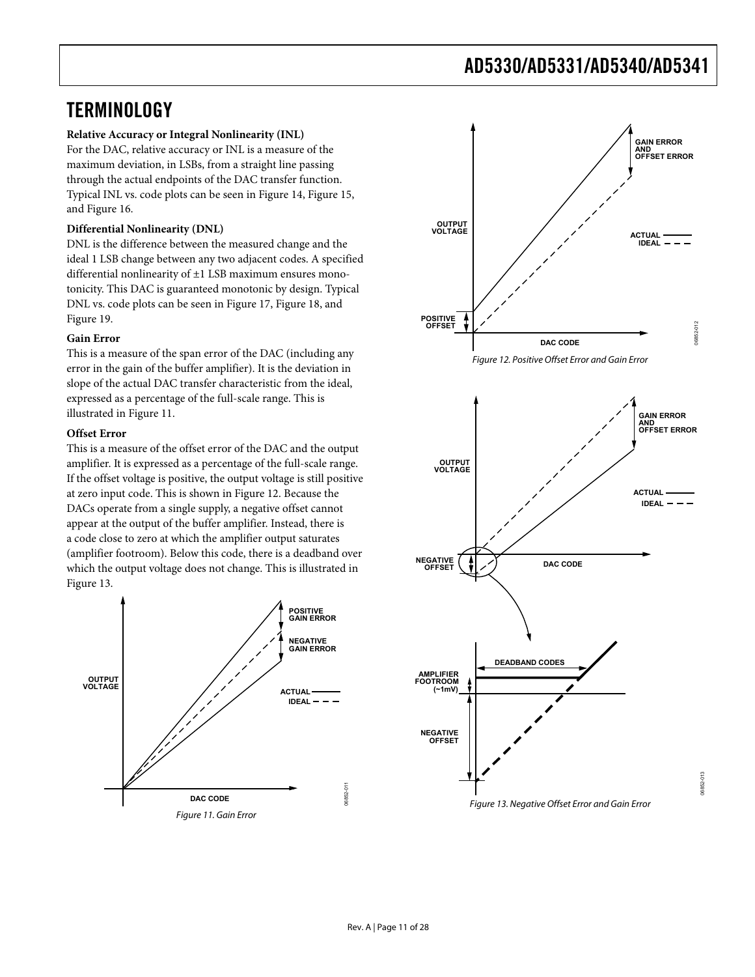## <span id="page-10-1"></span><span id="page-10-0"></span>**TERMINOLOGY**

### **Relative Accuracy or Integral Nonlinearity (INL)**

For the DAC, relative accuracy or INL is a measure of the maximum deviation, in LSBs, from a straight line passing through the actual endpoints of the DAC transfer function. Typical INL vs. code plots can be seen in [Figure 14](#page-12-1), [Figure 15](#page-12-2), and [Figure 16.](#page-12-3)

### **Differential Nonlinearity (DNL)**

DNL is the difference between the measured change and the ideal 1 LSB change between any two adjacent codes. A specified differential nonlinearity of ±1 LSB maximum ensures monotonicity. This DAC is guaranteed monotonic by design. Typical DNL vs. code plots can be seen in [Figure 17](#page-12-1), [Figure 18](#page-12-2), and [Figure 19](#page-12-3).

### **Gain Error**

<span id="page-10-3"></span>This is a measure of the span error of the DAC (including any error in the gain of the buffer amplifier). It is the deviation in slope of the actual DAC transfer characteristic from the ideal, expressed as a percentage of the full-scale range. This is illustrated in [Figure 11.](#page-10-2)

### **Offset Error**

This is a measure of the offset error of the DAC and the output amplifier. It is expressed as a percentage of the full-scale range. If the offset voltage is positive, the output voltage is still positive at zero input code. This is shown in [Figure 12.](#page-10-3) Because the DACs operate from a single supply, a negative offset cannot appear at the output of the buffer amplifier. Instead, there is a code close to zero at which the amplifier output saturates (amplifier footroom). Below this code, there is a deadband over which the output voltage does not change. This is illustrated in [Figure 13](#page-10-4).

<span id="page-10-4"></span><span id="page-10-2"></span>

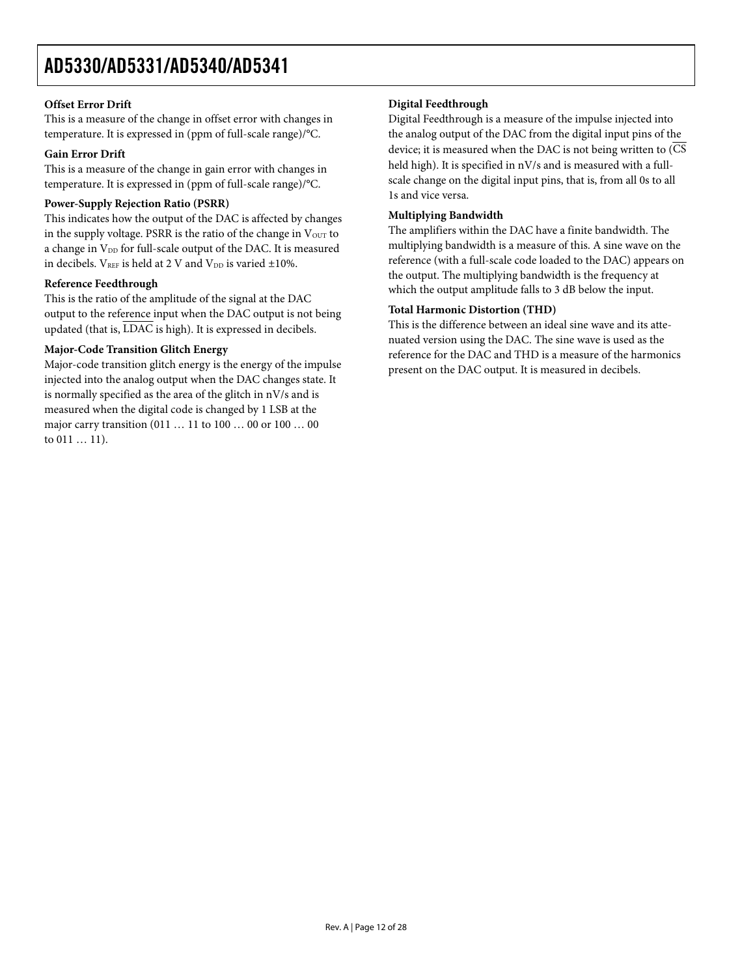### **Offset Error Drift**

This is a measure of the change in offset error with changes in temperature. It is expressed in (ppm of full-scale range)/°C.

### **Gain Error Drift**

This is a measure of the change in gain error with changes in temperature. It is expressed in (ppm of full-scale range)/°C.

### **Power-Supply Rejection Ratio (PSRR)**

This indicates how the output of the DAC is affected by changes in the supply voltage. PSRR is the ratio of the change in  $V<sub>OUT</sub>$  to a change in V<sub>DD</sub> for full-scale output of the DAC. It is measured in decibels.  $V_{REF}$  is held at 2 V and  $V_{DD}$  is varied ±10%.

### **Reference Feedthrough**

This is the ratio of the amplitude of the signal at the DAC output to the reference input when the DAC output is not being updated (that is, LDAC is high). It is expressed in decibels.

### **Major-Code Transition Glitch Energy**

Major-code transition glitch energy is the energy of the impulse injected into the analog output when the DAC changes state. It is normally specified as the area of the glitch in nV/s and is measured when the digital code is changed by 1 LSB at the major carry transition (011 … 11 to 100 … 00 or 100 … 00 to 011 … 11).

### **Digital Feedthrough**

Digital Feedthrough is a measure of the impulse injected into the analog output of the DAC from the digital input pins of the device; it is measured when the DAC is not being written to  $\overline{\text{CS}}$ held high). It is specified in nV/s and is measured with a fullscale change on the digital input pins, that is, from all 0s to all 1s and vice versa.

### **Multiplying Bandwidth**

The amplifiers within the DAC have a finite bandwidth. The multiplying bandwidth is a measure of this. A sine wave on the reference (with a full-scale code loaded to the DAC) appears on the output. The multiplying bandwidth is the frequency at which the output amplitude falls to 3 dB below the input.

### **Total Harmonic Distortion (THD)**

This is the difference between an ideal sine wave and its attenuated version using the DAC. The sine wave is used as the reference for the DAC and THD is a measure of the harmonics present on the DAC output. It is measured in decibels.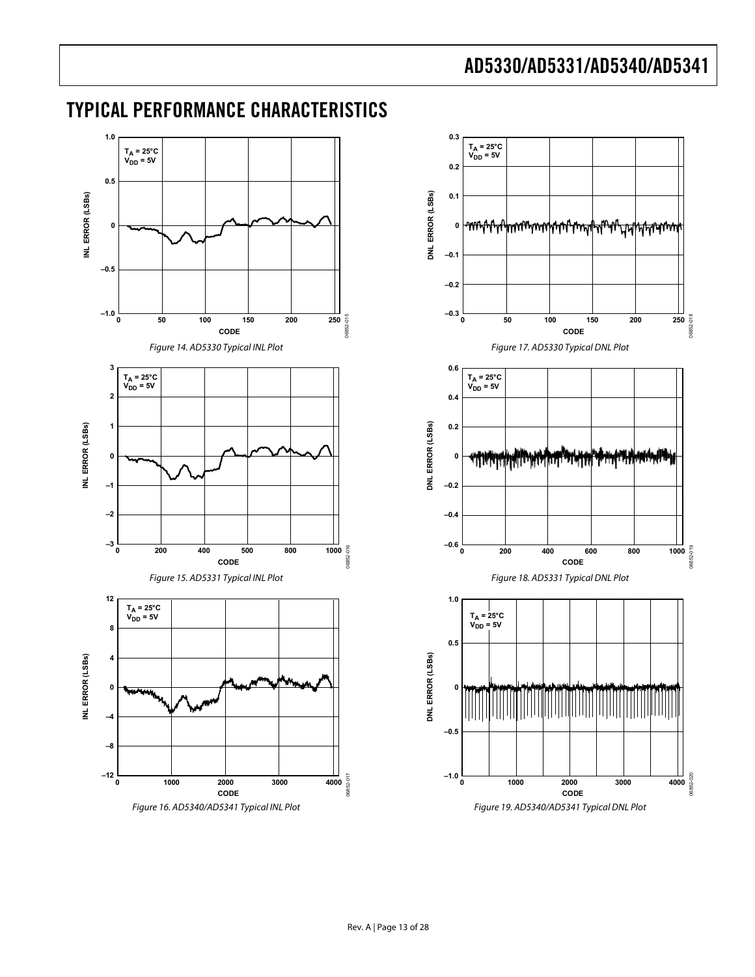## <span id="page-12-0"></span>TYPICAL PERFORMANCE CHARACTERISTICS

<span id="page-12-3"></span><span id="page-12-2"></span><span id="page-12-1"></span>

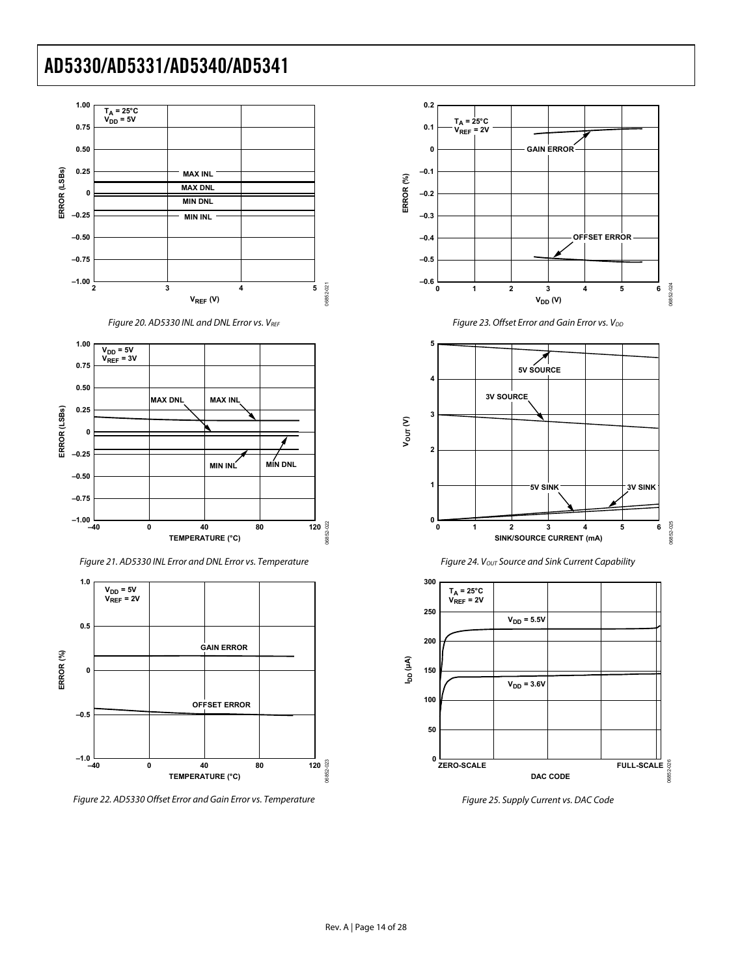

Figure 20. AD5330 INL and DNL Error vs. VREF



Figure 21. AD5330 INL Error and DNL Error vs. Temperature

<span id="page-13-0"></span>

Figure 22. AD5330 Offset Error and Gain Error vs. Temperature











Figure 25. Supply Current vs. DAC Code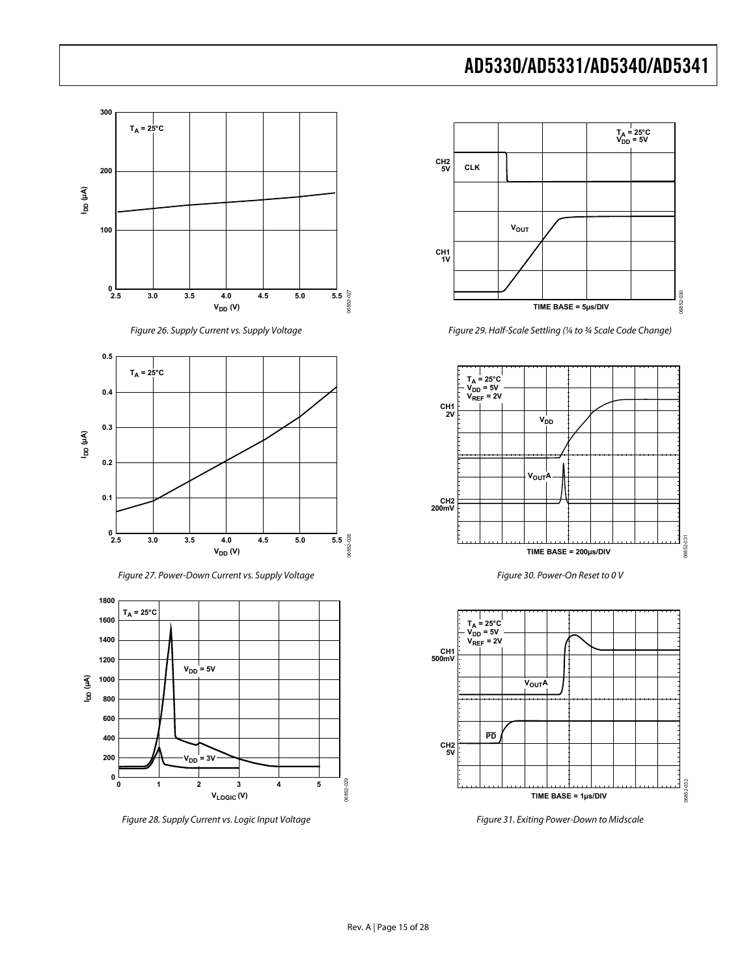

Figure 26. Supply Current vs. Supply Voltage

<span id="page-14-0"></span>

Figure 27. Power-Down Current vs. Supply Voltage



<span id="page-14-1"></span>Figure 28. Supply Current vs. Logic Input Voltage



Figure 29. Half-Scale Settling (¼ to ¾ Scale Code Change)



Figure 30. Power-On Reset to 0 V



Figure 31. Exiting Power-Down to Midscale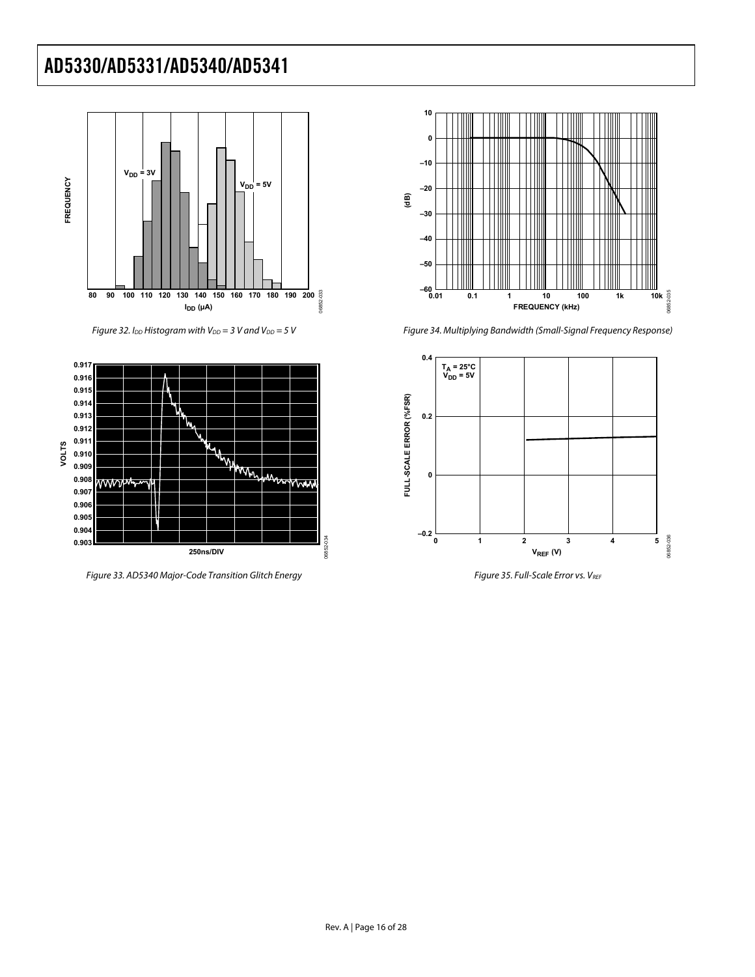



Figure 33. AD5340 Major-Code Transition Glitch Energy Figure 35. Full-Scale Error vs. VREF



Figure 32. I<sub>DD</sub> Histogram with V<sub>DD</sub> = 3 V and V<sub>DD</sub> = 5 V **Figure 34. Multiplying Bandwidth (Small-Signal Frequency Response)** 

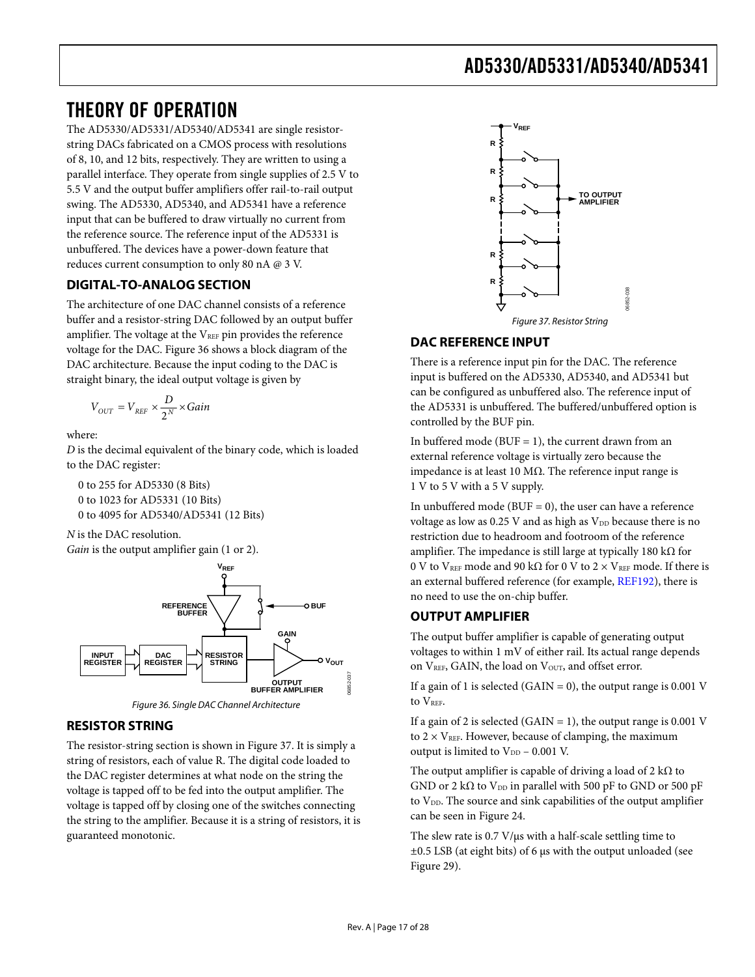## <span id="page-16-1"></span><span id="page-16-0"></span>THEORY OF OPERATION

The AD5330/AD5331/AD5340/AD5341 are single resistorstring DACs fabricated on a CMOS process with resolutions of 8, 10, and 12 bits, respectively. They are written to using a parallel interface. They operate from single supplies of 2.5 V to 5.5 V and the output buffer amplifiers offer rail-to-rail output swing. The AD5330, AD5340, and AD5341 have a reference input that can be buffered to draw virtually no current from the reference source. The reference input of the AD5331 is unbuffered. The devices have a power-down feature that reduces current consumption to only 80 nA @ 3 V.

### **DIGITAL-TO-ANALOG SECTION**

<span id="page-16-3"></span>The architecture of one DAC channel consists of a reference buffer and a resistor-string DAC followed by an output buffer amplifier. The voltage at the  $V_{REF}$  pin provides the reference voltage for the DAC. [Figure 36](#page-16-2) shows a block diagram of the DAC architecture. Because the input coding to the DAC is straight binary, the ideal output voltage is given by

$$
V_{OUT} = V_{REF} \times \frac{D}{2^N} \times Gain
$$

where:

*D* is the decimal equivalent of the binary code, which is loaded to the DAC register:

0 to 255 for AD5330 (8 Bits) 0 to 1023 for AD5331 (10 Bits) 0 to 4095 for AD5340/AD5341 (12 Bits)

*N* is the DAC resolution. *Gain* is the output amplifier gain (1 or 2).





### <span id="page-16-2"></span>**RESISTOR STRING**

The resistor-string section is shown in [Figure 37](#page-16-3). It is simply a string of resistors, each of value R. The digital code loaded to the DAC register determines at what node on the string the voltage is tapped off to be fed into the output amplifier. The voltage is tapped off by closing one of the switches connecting the string to the amplifier. Because it is a string of resistors, it is guaranteed monotonic.



### **DAC REFERENCE INPUT**

There is a reference input pin for the DAC. The reference input is buffered on the AD5330, AD5340, and AD5341 but can be configured as unbuffered also. The reference input of the AD5331 is unbuffered. The buffered/unbuffered option is controlled by the BUF pin.

In buffered mode ( $BUF = 1$ ), the current drawn from an external reference voltage is virtually zero because the impedance is at least 10 MΩ. The reference input range is 1 V to 5 V with a 5 V supply.

In unbuffered mode (BUF  $= 0$ ), the user can have a reference voltage as low as  $0.25$  V and as high as  $V_{DD}$  because there is no restriction due to headroom and footroom of the reference amplifier. The impedance is still large at typically 180 k $\Omega$  for 0 V to V<sub>REF</sub> mode and 90 kΩ for 0 V to 2  $\times$  V<sub>REF</sub> mode. If there is an external buffered reference (for example, [REF192\)](http://www.analog.com/ref192), there is no need to use the on-chip buffer.

### **OUTPUT AMPLIFIER**

The output buffer amplifier is capable of generating output voltages to within 1 mV of either rail. Its actual range depends on VREF, GAIN, the load on VOUT, and offset error.

If a gain of 1 is selected (GAIN = 0), the output range is 0.001 V to V<sub>REF</sub>.

If a gain of 2 is selected (GAIN = 1), the output range is 0.001 V to  $2 \times V_{REF}$ . However, because of clamping, the maximum output is limited to  $V_{DD}$  – 0.001 V.

The output amplifier is capable of driving a load of 2 k $\Omega$  to GND or 2 k $\Omega$  to V<sub>DD</sub> in parallel with 500 pF to GND or 500 pF to  $V_{DD}$ . The source and sink capabilities of the output amplifier can be seen in [Figure 24](#page-13-0).

The slew rate is 0.7 V/μs with a half-scale settling time to ±0.5 LSB (at eight bits) of 6 μs with the output unloaded (see [Figure 29](#page-14-0)).

06852-037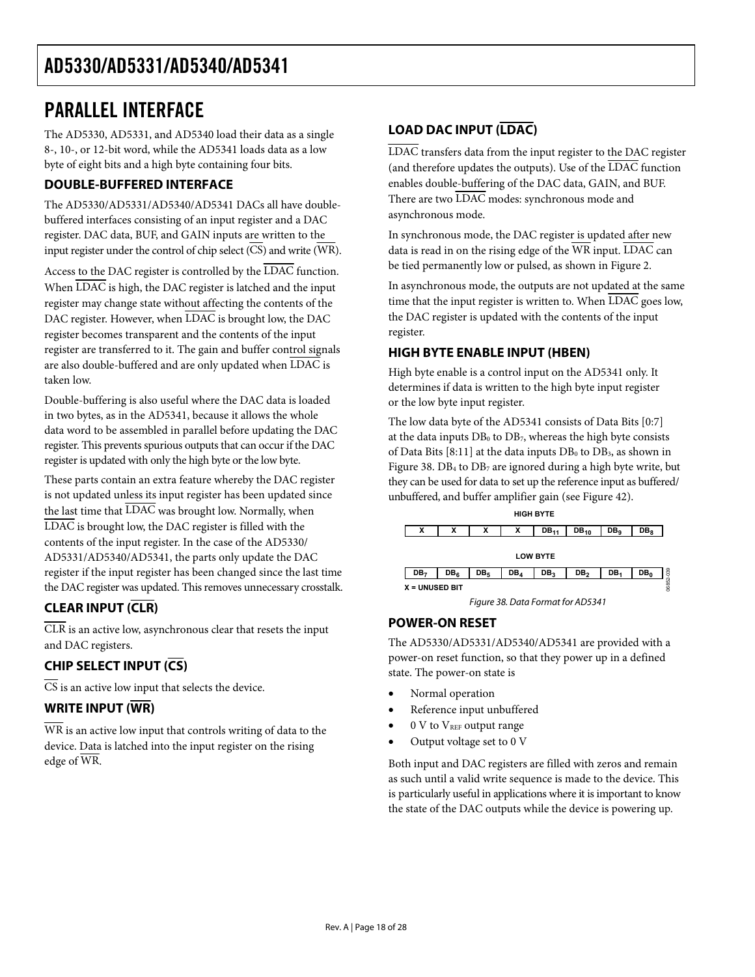## <span id="page-17-1"></span><span id="page-17-0"></span>PARALLEL INTERFACE

The AD5330, AD5331, and AD5340 load their data as a single 8-, 10-, or 12-bit word, while the AD5341 loads data as a low byte of eight bits and a high byte containing four bits.

### **DOUBLE-BUFFERED INTERFACE**

The AD5330/AD5331/AD5340/AD5341 DACs all have doublebuffered interfaces consisting of an input register and a DAC register. DAC data, BUF, and GAIN inputs are written to the input register under the control of chip select  $(\overline{\text{CS}})$  and write  $(\overline{\text{WR}})$ .

Access to the DAC register is controlled by the LDAC function. When LDAC is high, the DAC register is latched and the input register may change state without affecting the contents of the DAC register. However, when LDAC is brought low, the DAC register becomes transparent and the contents of the input register are transferred to it. The gain and buffer control signals are also double-buffered and are only updated when LDAC is taken low.

Double-buffering is also useful where the DAC data is loaded in two bytes, as in the AD5341, because it allows the whole data word to be assembled in parallel before updating the DAC register. This prevents spurious outputs that can occur if the DAC register is updated with only the high byte or the low byte.

These parts contain an extra feature whereby the DAC register is not updated unless its input register has been updated since the last time that  $\overline{\text{LDAC}}$  was brought low. Normally, when LDAC is brought low, the DAC register is filled with the contents of the input register. In the case of the AD5330/ AD5331/AD5340/AD5341, the parts only update the DAC register if the input register has been changed since the last time the DAC register was updated. This removes unnecessary crosstalk.

### <span id="page-17-2"></span>**CLEAR INPUT (CLR)**

CLR is an active low, asynchronous clear that resets the input and DAC registers.

### **CHIP SELECT INPUT (CS)**

 $\overline{CS}$  is an active low input that selects the device.

### **WRITE INPUT (WR)**

WR is an active low input that controls writing of data to the device. Data is latched into the input register on the rising edge of WR.

### **LOAD DAC INPUT (LDAC)**

LDAC transfers data from the input register to the DAC register (and therefore updates the outputs). Use of the LDAC function enables double-buffering of the DAC data, GAIN, and BUF. There are two LDAC modes: synchronous mode and asynchronous mode.

In synchronous mode, the DAC register is updated after new data is read in on the rising edge of the WR input. LDAC can be tied permanently low or pulsed, as shown in [Figure 2](#page-4-1).

In asynchronous mode, the outputs are not updated at the same time that the input register is written to. When LDAC goes low, the DAC register is updated with the contents of the input register.

### **HIGH BYTE ENABLE INPUT (HBEN)**

High byte enable is a control input on the AD5341 only. It determines if data is written to the high byte input register or the low byte input register.

The low data byte of the AD5341 consists of Data Bits [0:7] at the data inputs  $DB_0$  to  $DB_7$ , whereas the high byte consists of Data Bits [8:11] at the data inputs  $DB_0$  to  $DB_3$ , as shown in [Figure 38](#page-17-2). DB4 to DB7 are ignored during a high byte write, but they can be used for data to set up the reference input as buffered/ unbuffered, and buffer amplifier gain (see [Figure 42](#page-19-1)).



## **POWER-ON RESET**

The AD5330/AD5331/AD5340/AD5341 are provided with a power-on reset function, so that they power up in a defined state. The power-on state is

- Normal operation
- Reference input unbuffered
- 0 V to V<sub>REF</sub> output range
- Output voltage set to 0 V

Both input and DAC registers are filled with zeros and remain as such until a valid write sequence is made to the device. This is particularly useful in applications where it is important to know the state of the DAC outputs while the device is powering up.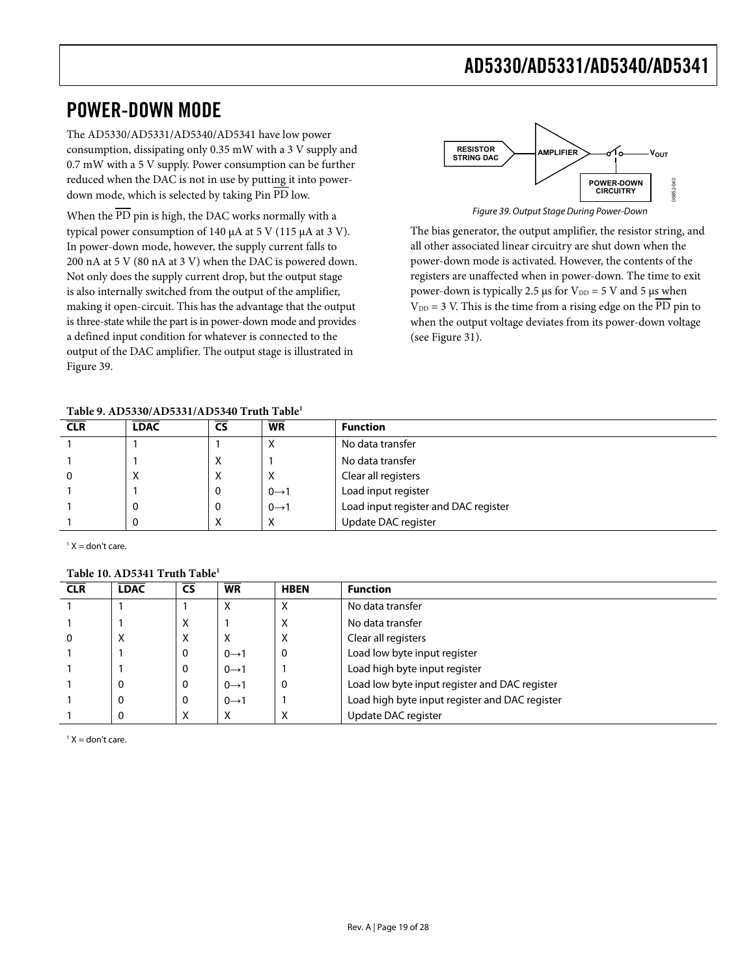## <span id="page-18-0"></span>POWER-DOWN MODE

The AD5330/AD5331/AD5340/AD5341 have low power consumption, dissipating only 0.35 mW with a 3 V supply and 0.7 mW with a 5 V supply. Power consumption can be further reduced when the DAC is not in use by putting it into powerdown mode, which is selected by taking Pin PD low.

<span id="page-18-1"></span>When the  $\overline{PD}$  pin is high, the DAC works normally with a typical power consumption of 140 μA at 5 V (115 μA at 3 V). In power-down mode, however, the supply current falls to 200 nA at 5 V (80 nA at 3 V) when the DAC is powered down. Not only does the supply current drop, but the output stage is also internally switched from the output of the amplifier, making it open-circuit. This has the advantage that the output is three-state while the part is in power-down mode and provides a defined input condition for whatever is connected to the output of the DAC amplifier. The output stage is illustrated in [Figure 39](#page-18-1).



The bias generator, the output amplifier, the resistor string, and all other associated linear circuitry are shut down when the power-down mode is activated. However, the contents of the registers are unaffected when in power-down. The time to exit power-down is typically 2.5 μs for  $V_{DD} = 5$  V and 5 μs when  $V_{DD} = 3$  V. This is the time from a rising edge on the PD pin to when the output voltage deviates from its power-down voltage (see [Figure 31\)](#page-14-1).

#### **Table 9. AD5330/AD5331/AD5340 Truth Table1**

| <b>CLR</b> | <b>LDAC</b> | <b>CS</b> | <b>WR</b>         | <b>Function</b>                      |
|------------|-------------|-----------|-------------------|--------------------------------------|
|            |             |           | ⋏                 | No data transfer                     |
|            |             | х         |                   | No data transfer                     |
|            | ́           | X         | х                 | Clear all registers                  |
|            |             | 0         | $0 \rightarrow 1$ | Load input register                  |
|            |             | 0         | $0 \rightarrow 1$ | Load input register and DAC register |
|            |             | X         | X                 | Update DAC register                  |

 $1 X =$  don't care.

### **Table 10. AD5341 Truth Table1**

| <b>CLR</b> | <b>LDAC</b> | <b>CS</b> | <b>WR</b>         | <b>HBEN</b> | <b>Function</b>                                |
|------------|-------------|-----------|-------------------|-------------|------------------------------------------------|
|            |             |           | ⋏                 |             | No data transfer                               |
|            |             | х         |                   | ⋏           | No data transfer                               |
|            | X           | х         | х                 | $\lambda$   | Clear all registers                            |
|            |             | 0         | $0 \rightarrow 1$ |             | Load low byte input register                   |
|            |             | O         | $0 \rightarrow 1$ |             | Load high byte input register                  |
|            | 0           | O         | $0 \rightarrow 1$ |             | Load low byte input register and DAC register  |
|            | 0           | 0         | $0 \rightarrow 1$ |             | Load high byte input register and DAC register |
|            | 0           | X         | х                 | ∧           | Update DAC register                            |

 $1 X =$  don't care.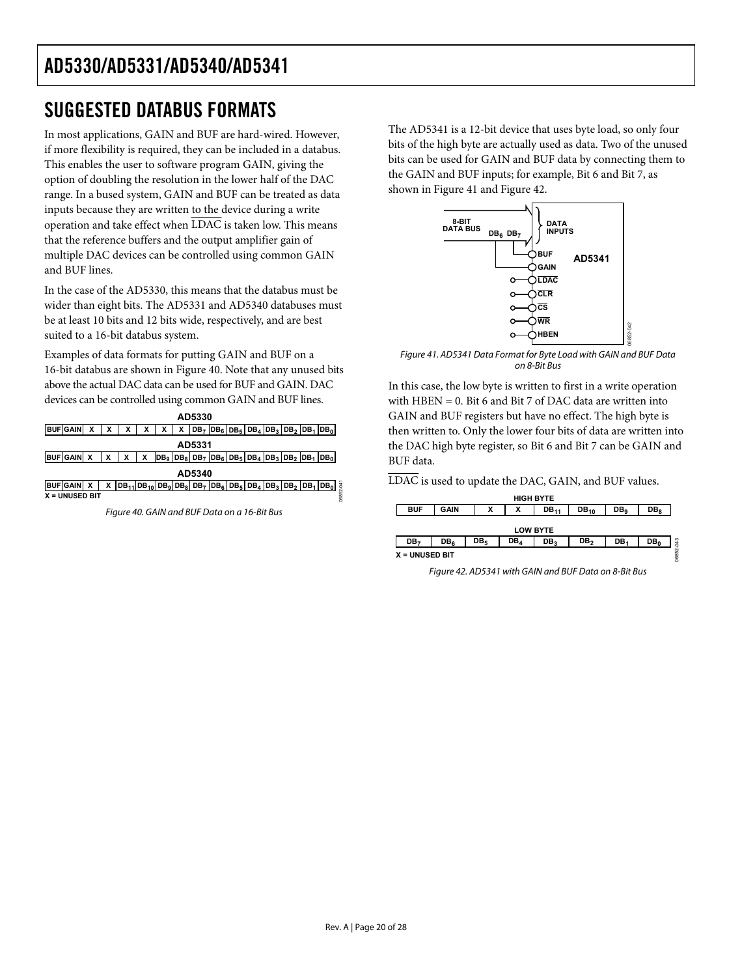## <span id="page-19-0"></span>SUGGESTED DATABUS FORMATS

In most applications, GAIN and BUF are hard-wired. However, if more flexibility is required, they can be included in a databus. This enables the user to software program GAIN, giving the option of doubling the resolution in the lower half of the DAC range. In a bused system, GAIN and BUF can be treated as data inputs because they are written to the device during a write operation and take effect when  $\overline{\text{LDAC}}$  is taken low. This means that the reference buffers and the output amplifier gain of multiple DAC devices can be controlled using common GAIN and BUF lines.

In the case of the AD5330, this means that the databus must be wider than eight bits. The AD5331 and AD5340 databuses must be at least 10 bits and 12 bits wide, respectively, and are best suited to a 16-bit databus system.

<span id="page-19-3"></span>Examples of data formats for putting GAIN and BUF on a 16-bit databus are shown in [Figure 40](#page-19-2). Note that any unused bits above the actual DAC data can be used for BUF and GAIN. DAC devices can be controlled using common GAIN and BUF lines.

| AD5330                        |  |   |                                                                       |   |   |   |  |  |  |  |                                                       |  |                  |
|-------------------------------|--|---|-----------------------------------------------------------------------|---|---|---|--|--|--|--|-------------------------------------------------------|--|------------------|
| <b>BUF</b> GAIN               |  |   | х                                                                     | х | х | х |  |  |  |  | $ DB_7 DB_6 DB_5 DB_4 DB_3 DB_2 DB_1 DB_0 $           |  |                  |
| AD5331                        |  |   |                                                                       |   |   |   |  |  |  |  |                                                       |  |                  |
| BUF GAIN X                    |  |   |                                                                       | x |   |   |  |  |  |  | $ DB_9 DB_8 DB_7 DB_6 DB_5 DB_4 DB_3 DB_2 DB_1 DB_0 $ |  |                  |
| AD5340                        |  |   |                                                                       |   |   |   |  |  |  |  |                                                       |  |                  |
| <b>IBUFIGAINI</b>             |  | x | $ DB_{11} DB_{10} DB_9 DB_8 DB_7 DB_6 DB_5 DB_4 DB_3 DB_2 DB_1 DB_0 $ |   |   |   |  |  |  |  |                                                       |  | $rac{4}{9}$<br>Ń |
| 0685<br><b>X = UNUSED BIT</b> |  |   |                                                                       |   |   |   |  |  |  |  |                                                       |  |                  |

<span id="page-19-2"></span><span id="page-19-1"></span>Figure 40. GAIN and BUF Data on a 16-Bit Bus

The AD5341 is a 12-bit device that uses byte load, so only four bits of the high byte are actually used as data. Two of the unused bits can be used for GAIN and BUF data by connecting them to the GAIN and BUF inputs; for example, Bit 6 and Bit 7, as shown in [Figure 41](#page-19-3) and [Figure 42.](#page-19-1)



Figure 41. AD5341 Data Format for Byte Load with GAIN and BUF Data on 8-Bit Bus

06852-042

In this case, the low byte is written to first in a write operation with HBEN = 0. Bit 6 and Bit 7 of DAC data are written into GAIN and BUF registers but have no effect. The high byte is then written to. Only the lower four bits of data are written into the DAC high byte register, so Bit 6 and Bit 7 can be GAIN and BUF data.

LDAC is used to update the DAC, GAIN, and BUF values.

| <b>HIGH BYTE</b>               |                 |                 |                 |                 |                 |                 |                 |            |  |
|--------------------------------|-----------------|-----------------|-----------------|-----------------|-----------------|-----------------|-----------------|------------|--|
| <b>BUF</b>                     | <b>GAIN</b>     |                 | x               | $DB_{11}$       | $DB_{10}$       | DB <sub>o</sub> | DB <sub>8</sub> |            |  |
|                                |                 |                 |                 |                 |                 |                 |                 |            |  |
|                                |                 |                 |                 | <b>LOW BYTE</b> |                 |                 |                 |            |  |
| DB <sub>7</sub>                | DB <sub>6</sub> | DB <sub>5</sub> | DB <sub>A</sub> | DB <sub>3</sub> | DB <sub>2</sub> | DB <sub>1</sub> | DB <sub>o</sub> | <b>GRO</b> |  |
| 06852<br><b>X = UNUSED BIT</b> |                 |                 |                 |                 |                 |                 |                 |            |  |

Figure 42. AD5341 with GAIN and BUF Data on 8-Bit Bus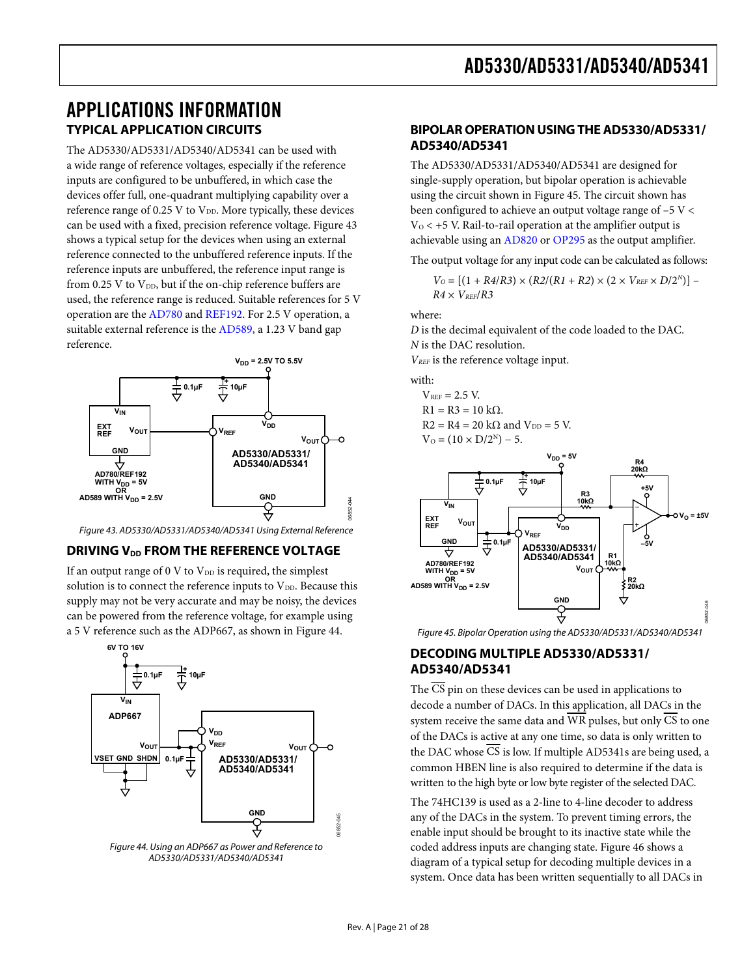## <span id="page-20-1"></span><span id="page-20-0"></span>APPLICATIONS INFORMATION **TYPICAL APPLICATION CIRCUITS**

The AD5330/AD5331/AD5340/AD5341 can be used with a wide range of reference voltages, especially if the reference inputs are configured to be unbuffered, in which case the devices offer full, one-quadrant multiplying capability over a reference range of 0.25 V to  $V_{DD}$ . More typically, these devices can be used with a fixed, precision reference voltage. [Figure 43](#page-20-2) shows a typical setup for the devices when using an external reference connected to the unbuffered reference inputs. If the reference inputs are unbuffered, the reference input range is from 0.25 V to  $V_{DD}$ , but if the on-chip reference buffers are used, the reference range is reduced. Suitable references for 5 V operation are the [AD780](http://www.analog.com/ad780) and [REF192.](http://www.analog.com/ref192) For 2.5 V operation, a suitable external reference is the [AD589,](http://www.analog.com/ad589) a 1.23 V band gap reference.



Figure 43. AD5330/AD5331/AD5340/AD5341 Using External Reference

### <span id="page-20-2"></span>**DRIVING V<sub>DD</sub> FROM THE REFERENCE VOLTAGE**

If an output range of 0 V to  $V_{DD}$  is required, the simplest solution is to connect the reference inputs to  $V_{DD}$ . Because this supply may not be very accurate and may be noisy, the devices can be powered from the reference voltage, for example using a 5 V reference such as the ADP667, as shown in [Figure 44.](#page-20-3)

<span id="page-20-4"></span>

<span id="page-20-3"></span>Figure 44. Using an ADP667 as Power and Reference to AD5330/AD5331/AD5340/AD5341

### **BIPOLAR OPERATION USING THE AD5330/AD5331/ AD5340/AD5341**

The AD5330/AD5331/AD5340/AD5341 are designed for single-supply operation, but bipolar operation is achievable using the circuit shown in [Figure 45](#page-20-4). The circuit shown has been configured to achieve an output voltage range of –5 V <  $V_0$  < +5 V. Rail-to-rail operation at the amplifier output is achievable using an [AD820](http://www.analog.com/ad820) or [OP295](http://www.analog.com/op295) as the output amplifier.

The output voltage for any input code can be calculated as follows:

$$
V_O = [(1+R4/R3)\times (R2/(R1+R2)\times (2\times V_{REF}\times D/2^N)] - R4\times V_{REF}/R3
$$

where:

*D* is the decimal equivalent of the code loaded to the DAC. *N* is the DAC resolution.

*VREF* is the reference voltage input.

with:

$$
V_{REF} = 2.5 V.
$$
  
R1 = R3 = 10 kΩ.

 $R2 = R4 = 20 \text{ k}\Omega$  and  $V_{DD} = 5 \text{ V}$ .  $V_0 = (10 \times D/2^N) - 5.$ 



Figure 45. Bipolar Operation using the AD5330/AD5331/AD5340/AD5341

### **DECODING MULTIPLE AD5330/AD5331/ AD5340/AD5341**

The CS pin on these devices can be used in applications to decode a number of DACs. In this application, all DACs in the system receive the same data and  $\overline{WR}$  pulses, but only  $\overline{CS}$  to one of the DACs is active at any one time, so data is only written to the DAC whose CS is low. If multiple AD5341s are being used, a common HBEN line is also required to determine if the data is written to the high byte or low byte register of the selected DAC.

The 74HC139 is used as a 2-line to 4-line decoder to address any of the DACs in the system. To prevent timing errors, the enable input should be brought to its inactive state while the coded address inputs are changing state. [Figure 46](#page-21-1) shows a diagram of a typical setup for decoding multiple devices in a system. Once data has been written sequentially to all DACs in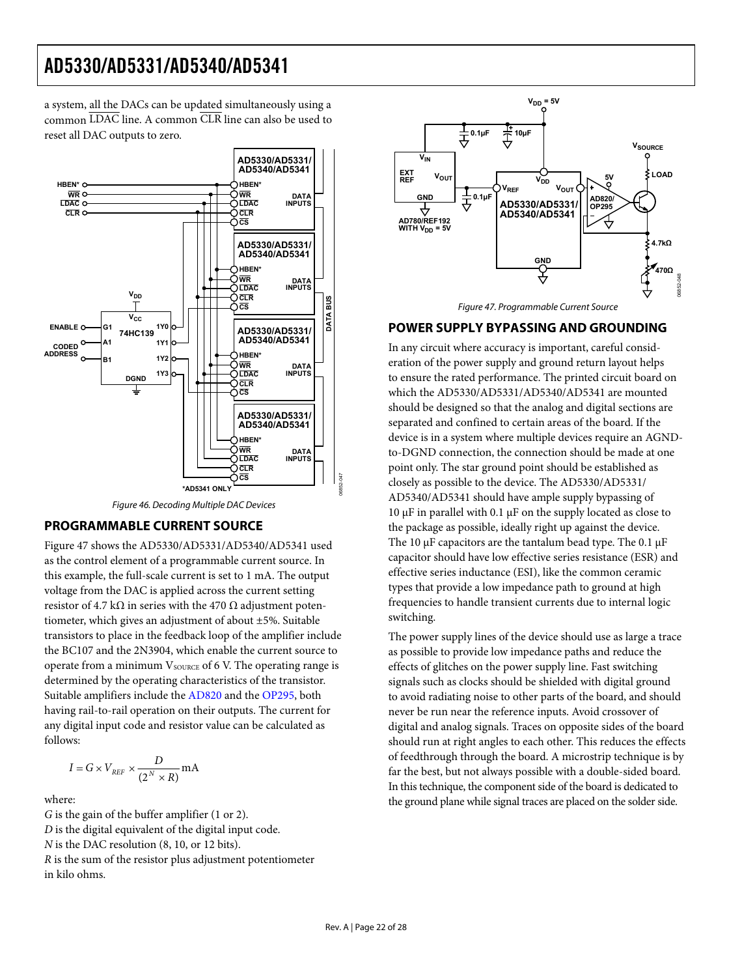<span id="page-21-0"></span>a system, all the DACs can be updated simultaneously using a common LDAC line. A common CLR line can also be used to reset all DAC outputs to zero.

<span id="page-21-2"></span>

Figure 46. Decoding Multiple DAC Devices

### <span id="page-21-1"></span>**PROGRAMMABLE CURRENT SOURCE**

[Figure 47](#page-21-2) shows the AD5330/AD5331/AD5340/AD5341 used as the control element of a programmable current source. In this example, the full-scale current is set to 1 mA. The output voltage from the DAC is applied across the current setting resistor of 4.7 k $\Omega$  in series with the 470  $\Omega$  adjustment potentiometer, which gives an adjustment of about ±5%. Suitable transistors to place in the feedback loop of the amplifier include the BC107 and the 2N3904, which enable the current source to operate from a minimum  $V_{\text{SOLRCE}}$  of 6 V. The operating range is determined by the operating characteristics of the transistor. Suitable amplifiers include the [AD820](http://www.analog.com/ad820) and the [OP295,](http://www.analog.com/op295) both having rail-to-rail operation on their outputs. The current for any digital input code and resistor value can be calculated as follows:

$$
I = G \times V_{REF} \times \frac{D}{(2^N \times R)} \text{mA}
$$

where:

*G* is the gain of the buffer amplifier (1 or 2).

*D* is the digital equivalent of the digital input code.

*N* is the DAC resolution (8, 10, or 12 bits).

*R* is the sum of the resistor plus adjustment potentiometer in kilo ohms.





#### **POWER SUPPLY BYPASSING AND GROUNDING**

In any circuit where accuracy is important, careful consideration of the power supply and ground return layout helps to ensure the rated performance. The printed circuit board on which the AD5330/AD5331/AD5340/AD5341 are mounted should be designed so that the analog and digital sections are separated and confined to certain areas of the board. If the device is in a system where multiple devices require an AGNDto-DGND connection, the connection should be made at one point only. The star ground point should be established as closely as possible to the device. The AD5330/AD5331/ AD5340/AD5341 should have ample supply bypassing of 10 μF in parallel with 0.1 μF on the supply located as close to the package as possible, ideally right up against the device. The 10  $\mu$ F capacitors are the tantalum bead type. The 0.1  $\mu$ F capacitor should have low effective series resistance (ESR) and effective series inductance (ESI), like the common ceramic types that provide a low impedance path to ground at high frequencies to handle transient currents due to internal logic switching.

The power supply lines of the device should use as large a trace as possible to provide low impedance paths and reduce the effects of glitches on the power supply line. Fast switching signals such as clocks should be shielded with digital ground to avoid radiating noise to other parts of the board, and should never be run near the reference inputs. Avoid crossover of digital and analog signals. Traces on opposite sides of the board should run at right angles to each other. This reduces the effects of feedthrough through the board. A microstrip technique is by far the best, but not always possible with a double-sided board. In this technique, the component side of the board is dedicated to the ground plane while signal traces are placed on the solder side.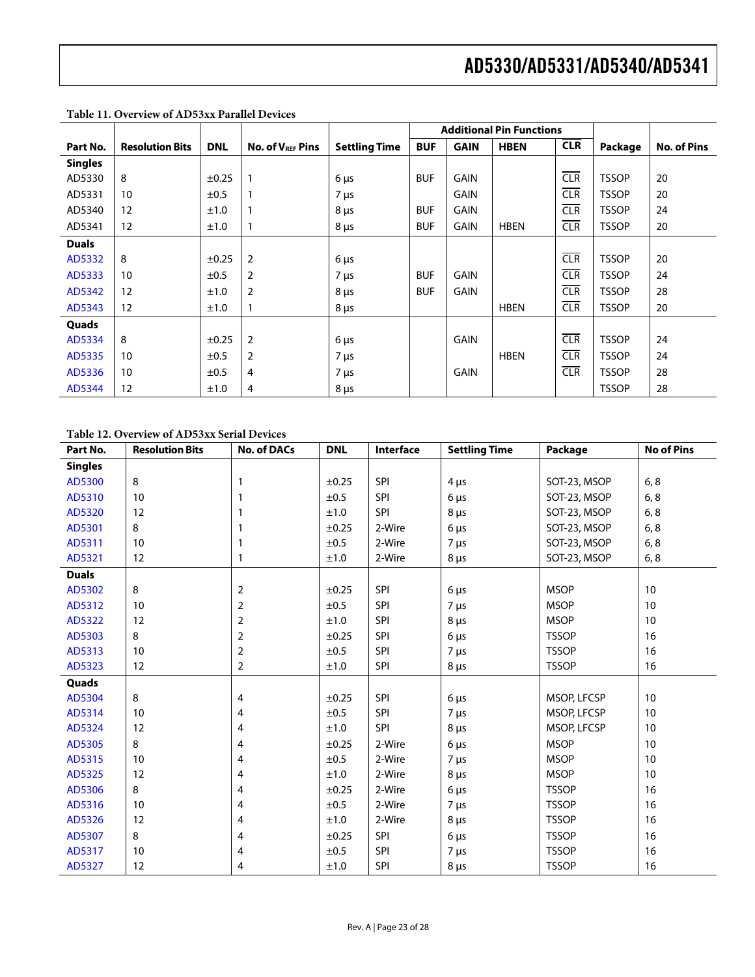|                |                        |            |                              |                      |            | <b>Additional Pin Functions</b> |             |            |              |                    |
|----------------|------------------------|------------|------------------------------|----------------------|------------|---------------------------------|-------------|------------|--------------|--------------------|
| Part No.       | <b>Resolution Bits</b> | <b>DNL</b> | No. of V <sub>REF</sub> Pins | <b>Settling Time</b> | <b>BUF</b> | <b>GAIN</b>                     | <b>HBEN</b> | <b>CLR</b> | Package      | <b>No. of Pins</b> |
| <b>Singles</b> |                        |            |                              |                      |            |                                 |             |            |              |                    |
| AD5330         | 8                      | $\pm 0.25$ | $\mathbf{1}$                 | $6 \mu s$            | <b>BUF</b> | <b>GAIN</b>                     |             | CIR        | <b>TSSOP</b> | 20                 |
| AD5331         | 10                     | ±0.5       |                              | $7 \mu s$            |            | <b>GAIN</b>                     |             | CIR        | <b>TSSOP</b> | 20                 |
| AD5340         | 12                     | ±1.0       | $\mathbf{1}$                 | $8 \mu s$            | <b>BUF</b> | <b>GAIN</b>                     |             | CLR        | <b>TSSOP</b> | 24                 |
| AD5341         | 12                     | ±1.0       |                              | $8 \mu s$            | <b>BUF</b> | <b>GAIN</b>                     | <b>HBEN</b> | <b>CLR</b> | <b>TSSOP</b> | 20                 |
| <b>Duals</b>   |                        |            |                              |                      |            |                                 |             |            |              |                    |
| AD5332         | 8                      | ±0.25      | $\overline{2}$               | $6 \mu s$            |            |                                 |             | CLR        | <b>TSSOP</b> | 20                 |
| AD5333         | 10                     | ±0.5       | $\overline{2}$               | $7 \mu s$            | <b>BUF</b> | <b>GAIN</b>                     |             | <b>CLR</b> | <b>TSSOP</b> | 24                 |
| AD5342         | 12                     | ±1.0       | $\overline{2}$               | $8 \mu s$            | <b>BUF</b> | <b>GAIN</b>                     |             | CIR        | <b>TSSOP</b> | 28                 |
| AD5343         | 12                     | ±1.0       | 1                            | $8 \mu s$            |            |                                 | <b>HBEN</b> | <b>CLR</b> | <b>TSSOP</b> | 20                 |
| Quads          |                        |            |                              |                      |            |                                 |             |            |              |                    |
| AD5334         | 8                      | $\pm 0.25$ | $\overline{2}$               | $6 \mu s$            |            | <b>GAIN</b>                     |             | <b>CLR</b> | <b>TSSOP</b> | 24                 |
| AD5335         | 10                     | ±0.5       | $\overline{2}$               | $7 \mu s$            |            |                                 | <b>HBEN</b> | <b>CLR</b> | <b>TSSOP</b> | 24                 |
| AD5336         | 10                     | ±0.5       | 4                            | $7 \mu s$            |            | <b>GAIN</b>                     |             | <b>CLR</b> | <b>TSSOP</b> | 28                 |
| AD5344         | 12                     | ±1.0       | 4                            | $8 \mu s$            |            |                                 |             |            | <b>TSSOP</b> | 28                 |

**Table 11. Overview of AD53xx Parallel Devices** 

### **Table 12. Overview of AD53xx Serial Devices**

| Part No.       | <b>Resolution Bits</b> | <b>No. of DACs</b> | <b>DNL</b> | Interface  | <b>Settling Time</b> | Package      | <b>No of Pins</b> |
|----------------|------------------------|--------------------|------------|------------|----------------------|--------------|-------------------|
| <b>Singles</b> |                        |                    |            |            |                      |              |                   |
| AD5300         | 8                      | 1                  | $\pm 0.25$ | SPI        | $4 \mu s$            | SOT-23, MSOP | 6, 8              |
| AD5310         | 10                     | 1                  | ±0.5       | SPI        | $6 \mu s$            | SOT-23, MSOP | 6, 8              |
| AD5320         | 12                     |                    | ±1.0       | <b>SPI</b> | $8 \mu s$            | SOT-23, MSOP | 6, 8              |
| AD5301         | 8                      |                    | ±0.25      | 2-Wire     | $6 \mu s$            | SOT-23, MSOP | 6, 8              |
| AD5311         | 10                     |                    | ±0.5       | 2-Wire     | $7 \mu s$            | SOT-23, MSOP | 6, 8              |
| AD5321         | 12                     | 1                  | ±1.0       | 2-Wire     | $8 \mu s$            | SOT-23, MSOP | 6, 8              |
| <b>Duals</b>   |                        |                    |            |            |                      |              |                   |
| AD5302         | 8                      | 2                  | $\pm 0.25$ | SPI        | $6 \mu s$            | <b>MSOP</b>  | 10                |
| AD5312         | 10                     | $\overline{2}$     | ±0.5       | SPI        | $7 \mu s$            | <b>MSOP</b>  | 10                |
| AD5322         | 12                     | $\overline{2}$     | ±1.0       | SPI        | $8 \mu s$            | <b>MSOP</b>  | 10                |
| AD5303         | 8                      | 2                  | $\pm 0.25$ | SPI        | $6 \mu s$            | <b>TSSOP</b> | 16                |
| AD5313         | 10                     | $\overline{2}$     | ±0.5       | SPI        | $7 \mu s$            | <b>TSSOP</b> | 16                |
| AD5323         | 12                     | $\overline{2}$     | ±1.0       | SPI        | $8 \mu s$            | <b>TSSOP</b> | 16                |
| Quads          |                        |                    |            |            |                      |              |                   |
| AD5304         | 8                      | 4                  | $\pm 0.25$ | SPI        | $6 \mu s$            | MSOP, LFCSP  | 10                |
| AD5314         | 10                     | 4                  | ±0.5       | SPI        | $7 \mu s$            | MSOP, LFCSP  | 10                |
| AD5324         | 12                     | 4                  | ±1.0       | <b>SPI</b> | $8 \mu s$            | MSOP, LFCSP  | 10                |
| AD5305         | 8                      | 4                  | ±0.25      | 2-Wire     | $6 \mu s$            | <b>MSOP</b>  | 10                |
| AD5315         | 10                     | 4                  | ±0.5       | 2-Wire     | $7 \mu s$            | <b>MSOP</b>  | 10                |
| AD5325         | 12                     | 4                  | ±1.0       | 2-Wire     | $8 \mu s$            | <b>MSOP</b>  | 10                |
| AD5306         | 8                      | 4                  | ±0.25      | 2-Wire     | $6 \mu s$            | <b>TSSOP</b> | 16                |
| AD5316         | 10                     | 4                  | ±0.5       | 2-Wire     | $7 \mu s$            | <b>TSSOP</b> | 16                |
| AD5326         | 12                     | 4                  | ±1.0       | 2-Wire     | $8 \mu s$            | <b>TSSOP</b> | 16                |
| AD5307         | 8                      | 4                  | $\pm 0.25$ | SPI        | $6 \mu s$            | <b>TSSOP</b> | 16                |
| AD5317         | 10                     | 4                  | ±0.5       | <b>SPI</b> | $7 \mu s$            | <b>TSSOP</b> | 16                |
| AD5327         | 12                     | 4                  | ±1.0       | SPI        | $8 \mu s$            | <b>TSSOP</b> | 16                |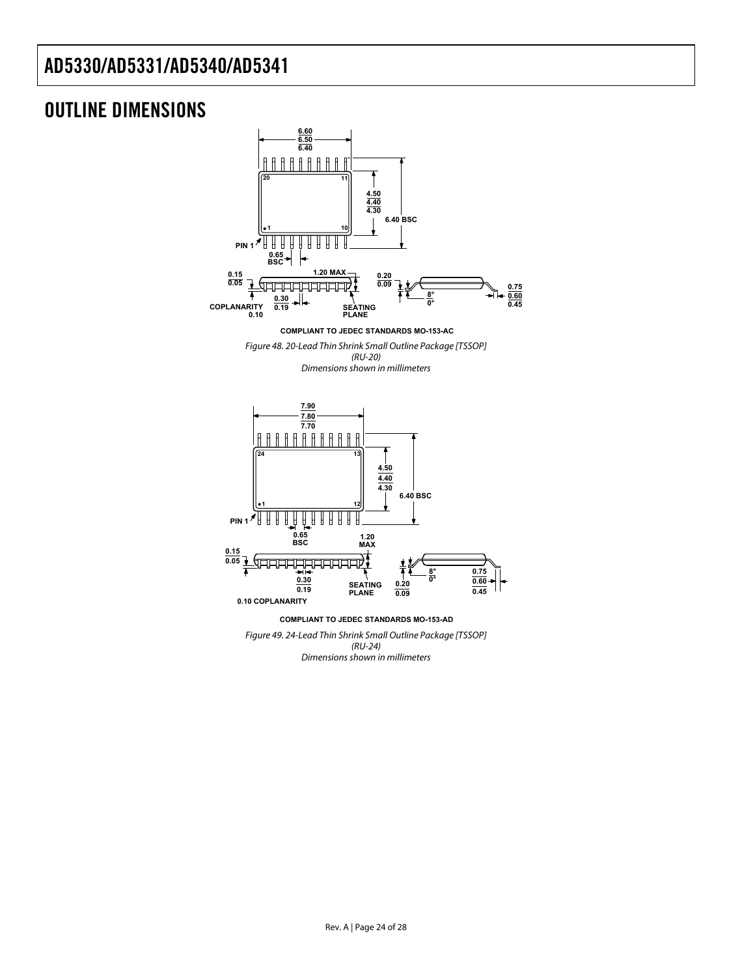## <span id="page-23-0"></span>OUTLINE DIMENSIONS



Dimensions shown in millimeters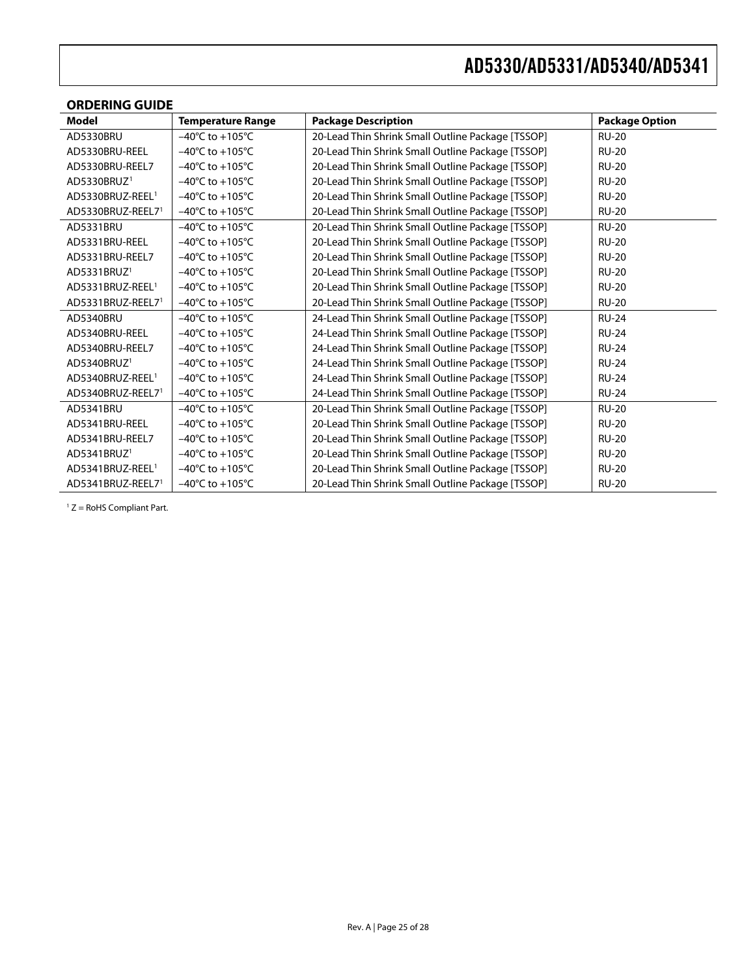<span id="page-24-0"></span>

| <b>ORDERING GUIDE</b>        |                                     |                                                   |                       |  |  |  |  |  |
|------------------------------|-------------------------------------|---------------------------------------------------|-----------------------|--|--|--|--|--|
| <b>Model</b>                 | <b>Temperature Range</b>            | <b>Package Description</b>                        | <b>Package Option</b> |  |  |  |  |  |
| AD5330BRU                    | $-40^{\circ}$ C to $+105^{\circ}$ C | 20-Lead Thin Shrink Small Outline Package [TSSOP] | <b>RU-20</b>          |  |  |  |  |  |
| AD5330BRU-REEL               | $-40^{\circ}$ C to $+105^{\circ}$ C | 20-Lead Thin Shrink Small Outline Package [TSSOP] | <b>RU-20</b>          |  |  |  |  |  |
| AD5330BRU-REEL7              | $-40^{\circ}$ C to $+105^{\circ}$ C | 20-Lead Thin Shrink Small Outline Package [TSSOP] | <b>RU-20</b>          |  |  |  |  |  |
| AD5330BRUZ <sup>1</sup>      | $-40^{\circ}$ C to $+105^{\circ}$ C | 20-Lead Thin Shrink Small Outline Package [TSSOP] | <b>RU-20</b>          |  |  |  |  |  |
| AD5330BRUZ-REEL <sup>1</sup> | $-40^{\circ}$ C to $+105^{\circ}$ C | 20-Lead Thin Shrink Small Outline Package [TSSOP] | <b>RU-20</b>          |  |  |  |  |  |
| AD5330BRUZ-REEL71            | $-40^{\circ}$ C to $+105^{\circ}$ C | 20-Lead Thin Shrink Small Outline Package [TSSOP] | <b>RU-20</b>          |  |  |  |  |  |
| AD5331BRU                    | $-40^{\circ}$ C to $+105^{\circ}$ C | 20-Lead Thin Shrink Small Outline Package [TSSOP] | <b>RU-20</b>          |  |  |  |  |  |
| AD5331BRU-REEL               | $-40^{\circ}$ C to $+105^{\circ}$ C | 20-Lead Thin Shrink Small Outline Package [TSSOP] | <b>RU-20</b>          |  |  |  |  |  |
| AD5331BRU-REEL7              | $-40^{\circ}$ C to $+105^{\circ}$ C | 20-Lead Thin Shrink Small Outline Package [TSSOP] | <b>RU-20</b>          |  |  |  |  |  |
| AD5331BRUZ <sup>1</sup>      | $-40^{\circ}$ C to $+105^{\circ}$ C | 20-Lead Thin Shrink Small Outline Package [TSSOP] | <b>RU-20</b>          |  |  |  |  |  |
| AD5331BRUZ-REEL <sup>1</sup> | $-40^{\circ}$ C to $+105^{\circ}$ C | 20-Lead Thin Shrink Small Outline Package [TSSOP] | <b>RU-20</b>          |  |  |  |  |  |
| AD5331BRUZ-REEL71            | $-40^{\circ}$ C to $+105^{\circ}$ C | 20-Lead Thin Shrink Small Outline Package [TSSOP] | <b>RU-20</b>          |  |  |  |  |  |
| AD5340BRU                    | $-40^{\circ}$ C to $+105^{\circ}$ C | 24-Lead Thin Shrink Small Outline Package [TSSOP] | <b>RU-24</b>          |  |  |  |  |  |
| AD5340BRU-REEL               | $-40^{\circ}$ C to $+105^{\circ}$ C | 24-Lead Thin Shrink Small Outline Package [TSSOP] | <b>RU-24</b>          |  |  |  |  |  |
| AD5340BRU-REEL7              | $-40^{\circ}$ C to $+105^{\circ}$ C | 24-Lead Thin Shrink Small Outline Package [TSSOP] | <b>RU-24</b>          |  |  |  |  |  |
| AD5340BRUZ <sup>1</sup>      | $-40^{\circ}$ C to $+105^{\circ}$ C | 24-Lead Thin Shrink Small Outline Package [TSSOP] | <b>RU-24</b>          |  |  |  |  |  |
| AD5340BRUZ-REEL <sup>1</sup> | $-40^{\circ}$ C to $+105^{\circ}$ C | 24-Lead Thin Shrink Small Outline Package [TSSOP] | <b>RU-24</b>          |  |  |  |  |  |
| AD5340BRUZ-REEL71            | $-40^{\circ}$ C to $+105^{\circ}$ C | 24-Lead Thin Shrink Small Outline Package [TSSOP] | <b>RU-24</b>          |  |  |  |  |  |
| AD5341BRU                    | $-40^{\circ}$ C to $+105^{\circ}$ C | 20-Lead Thin Shrink Small Outline Package [TSSOP] | <b>RU-20</b>          |  |  |  |  |  |
| AD5341BRU-REEL               | $-40^{\circ}$ C to $+105^{\circ}$ C | 20-Lead Thin Shrink Small Outline Package [TSSOP] | <b>RU-20</b>          |  |  |  |  |  |
| AD5341BRU-REEL7              | $-40^{\circ}$ C to $+105^{\circ}$ C | 20-Lead Thin Shrink Small Outline Package [TSSOP] | <b>RU-20</b>          |  |  |  |  |  |
| AD5341BRUZ <sup>1</sup>      | $-40^{\circ}$ C to $+105^{\circ}$ C | 20-Lead Thin Shrink Small Outline Package [TSSOP] | <b>RU-20</b>          |  |  |  |  |  |
| AD5341BRUZ-REEL <sup>1</sup> | $-40^{\circ}$ C to $+105^{\circ}$ C | 20-Lead Thin Shrink Small Outline Package [TSSOP] | <b>RU-20</b>          |  |  |  |  |  |
| AD5341BRUZ-REEL71            | $-40^{\circ}$ C to $+105^{\circ}$ C | 20-Lead Thin Shrink Small Outline Package [TSSOP] | <b>RU-20</b>          |  |  |  |  |  |

 $1 Z =$  RoHS Compliant Part.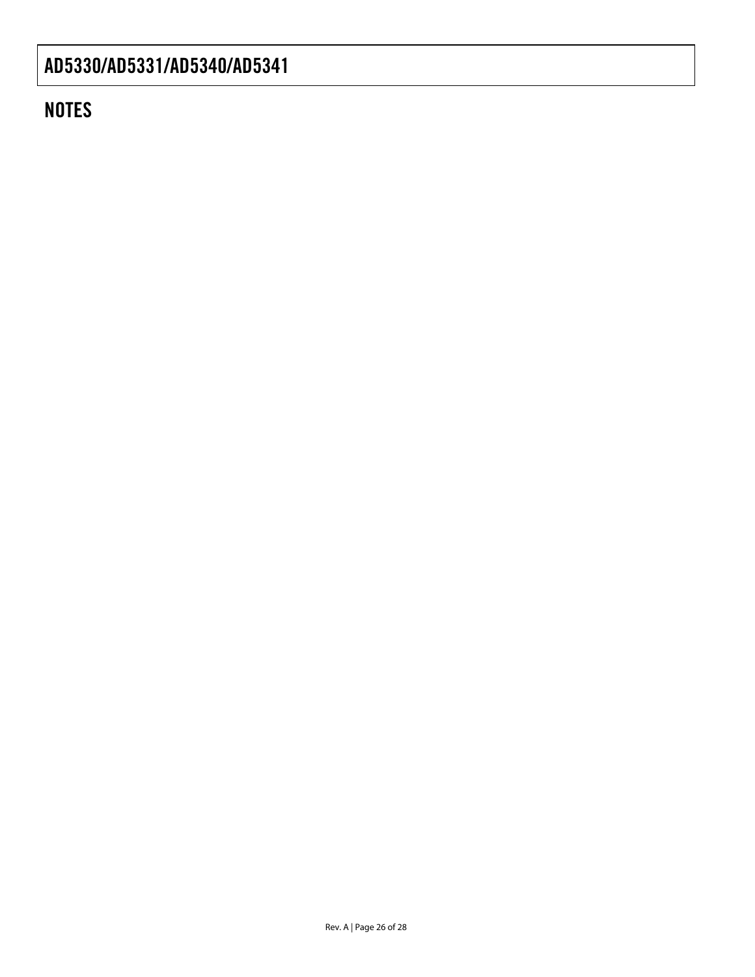## **NOTES**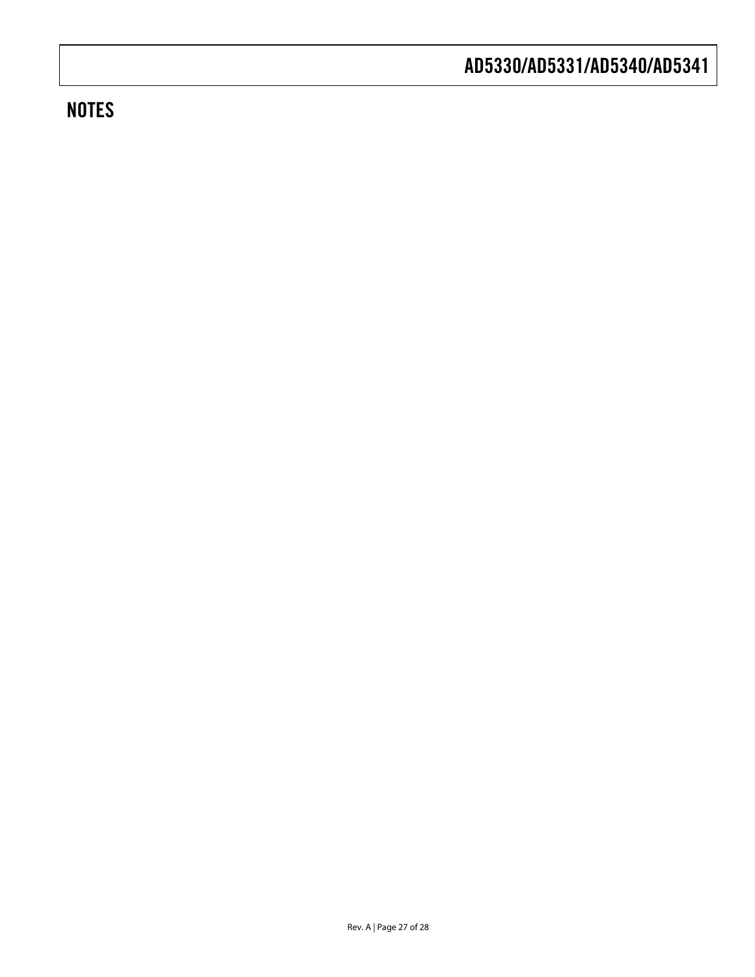# **NOTES**